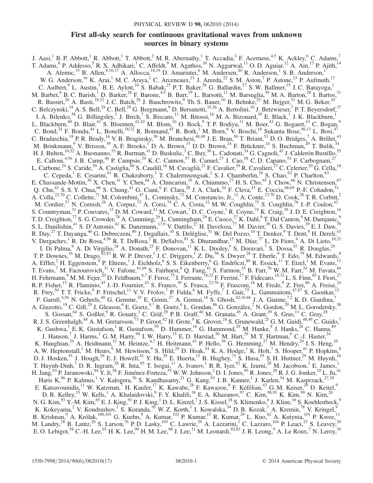# First all-sky search for continuous gravitational waves from unknown sources in binary systems

<span id="page-0-0"></span>J. Aasi,<sup>1</sup> B. P. Abbott,<sup>1</sup> R. Abbott,<sup>1</sup> T. Abbott,<sup>2</sup> M. R. Abernathy,<sup>1</sup> T. Accadia,<sup>3</sup> F. Acernese,<sup>4,5</sup> K. Ackley,<sup>6</sup> C. Adams,<sup>7</sup> T. Adams,  $8$  P. Addesso,  $5$  R. X. Adhikari,  $1$  C. Affeldt,  $9$  M. Agathos,  $10$  N. Aggarwal,  $11$  O. D. Aguiar,  $12$  A. Ain,  $13$  P. Ajith,  $14$ A. Alemic,<sup>15</sup> B. Allen,<sup>9,16,17</sup> A. Allocca,<sup>18,19</sup> D. Amariutei,<sup>6</sup> M. Andersen,<sup>20</sup> R. Anderson,<sup>1</sup> S. B. Anderson,<sup>1</sup> W. G. Anderson, <sup>16</sup> K. Arai,<sup>1</sup> M. C. Araya,<sup>1</sup> C. Arceneaux, <sup>21</sup> J. Areeda, <sup>22</sup> S. M. Aston,<sup>7</sup> P. Astone, <sup>23</sup> P. Aufmuth, <sup>17</sup> C. Aulbert, <sup>9</sup> L. Austin,<sup>1</sup> B. E. Aylott, <sup>24</sup> S. Babak, <sup>25</sup> P. T. Baker, <sup>26</sup> G. Ballardin, <sup>27</sup> S. W. Ballmer, <sup>15</sup> J. C. Barayoga, <sup>1</sup> M. Barbet, <sup>6</sup> B. C. Barish, <sup>1</sup> D. Barker,<sup>28</sup> F. Barone, <sup>4,5</sup> B. Barr, <sup>29</sup> L. Barsotti, <sup>11</sup> M. Barsuglia, <sup>30</sup> M. A. Barton, <sup>28</sup> I. Bartos, <sup>31</sup> R. Bassiri,<sup>20</sup> A. Basti,<sup>18,32</sup> J. C. Batch,<sup>28</sup> J. Bauchrowitz,<sup>9</sup> Th. S. Bauer,<sup>10</sup> B. Behnke,<sup>25</sup> M. Bejger,<sup>33</sup> M. G. Beker,<sup>10</sup> C. Belczynski,  $34$  A. S. Bell,  $29$  C. Bell,  $29$  G. Bergmann,  $9$  D. Bersanetti,  $35,36$  A. Bertolini,  $10$  J. Betzwieser,  $7$  P. T. Beyersdorf,  $37$ I. A. Bilenko,<sup>38</sup> G. Billingsley,<sup>1</sup> J. Birch,<sup>7</sup> S. Biscans,<sup>11</sup> M. Bitossi,<sup>18</sup> M. A. Bizouard,<sup>39</sup> E. Black,<sup>1</sup> J. K. Blackburn,<sup>1</sup> L. Blackburn,<sup>40</sup> D. Blair,<sup>41</sup> S. Bloemen,<sup>42,10</sup> M. Blom,<sup>10</sup> O. Bock,<sup>9</sup> T. P. Bodiya,<sup>11</sup> M. Boer,<sup>43</sup> G. Bogaert,<sup>43</sup> C. Bogan,<sup>9</sup> C. Bond,<sup>24</sup> F. Bondu,<sup>44</sup> L. Bonelli,<sup>18,32</sup> R. Bonnand,<sup>45</sup> R. Bork,<sup>1</sup> M. Born,<sup>9</sup> V. Boschi,<sup>18</sup> Sukanta Bose,<sup>46,13</sup> L. Bosi,<sup>47</sup> C. Bradaschia, <sup>18</sup> P. R. Brady, <sup>16</sup> V. B. Braginsky, <sup>38</sup> M. Branchesi, <sup>48,49</sup> J. E. Brau, <sup>50</sup> T. Briant, <sup>51</sup> D. O. Bridges, <sup>7</sup> A. Brillet, <sup>43</sup> M. Brinkmann, <sup>9</sup> V. Brisson, <sup>39</sup> A. F. Brooks, <sup>1</sup> D. A. Brown, <sup>15</sup> D. D. Brown, <sup>24</sup> F. Brückner, <sup>24</sup> S. Buchman, <sup>20</sup> T. Bulik, <sup>34</sup> H. J. Bulten, <sup>10,52</sup> A. Buonanno,<sup>53</sup> R. Burman, <sup>41</sup> D. Buskulic, <sup>3</sup> C. Buy, <sup>30</sup> L. Cadonati, <sup>54</sup> G. Cagnoli, <sup>45</sup> J. Calderón Bustillo, <sup>55</sup> E. Calloni,<sup>4,56</sup> J. B. Camp,<sup>40</sup> P. Campsie,<sup>29</sup> K. C. Cannon,<sup>57</sup> B. Canuel,<sup>27</sup> J. Cao,<sup>58</sup> C. D. Capano,<sup>53</sup> F. Carbognani,<sup>27</sup> L. Carbone,<sup>24</sup> S. Caride,<sup>59</sup> A. Castiglia,<sup>60</sup> S. Caudill,<sup>16</sup> M. Cavaglià,<sup>21</sup> F. Cavalier,<sup>39</sup> R. Cavalieri,<sup>27</sup> C. Celerier,<sup>20</sup> G. Cella,<sup>18</sup> C. Cepeda,<sup>1</sup> E. Cesarini,<sup>61</sup> R. Chakraborty,<sup>1</sup> T. Chalermsongsak,<sup>1</sup> S. J. Chamberlin,<sup>16</sup> S. Chao,<sup>62</sup> P. Charlton,<sup>63</sup> E. Chassande-Mottin,<sup>30</sup> X. Chen,<sup>41</sup> Y. Chen,<sup>64</sup> A. Chincarini,<sup>35</sup> A. Chiummo,<sup>27</sup> H. S. Cho,<sup>65</sup> J. Chow,<sup>66</sup> N. Christensen,<sup>67</sup> Q. Chu,<sup>41</sup> S. S. Y. Chua,<sup>66</sup> S. Chung,<sup>41</sup> G. Ciani,<sup>6</sup> F. Clara,<sup>28</sup> J. A. Clark,<sup>54</sup> F. Cleva,<sup>43</sup> E. Coccia,<sup>68,69</sup> P.-F. Cohadon,<sup>51</sup> A. Colla,<sup>23,70</sup> C. Collette,<sup>71</sup> M. Colombini,<sup>47</sup> L. Cominsky,<sup>72</sup> M. Constancio, Jr.,<sup>12</sup> A. Conte,<sup>23,70</sup> D. Cook,<sup>28</sup> T. R. Corbitt,<sup>2</sup> M. Cordier,<sup>37</sup> N. Cornish,<sup>26</sup> A. Corpuz,<sup>73</sup> A. Corsi,<sup>74</sup> C. A. Costa,<sup>12</sup> M. W. Coughlin,<sup>75</sup> S. Coughlin,<sup>76</sup> J.-P. Coulon,<sup>43</sup> S. Countryman,<sup>31</sup> P. Couvares,<sup>15</sup> D. M. Coward,<sup>41</sup> M. Cowart,<sup>7</sup> D. C. Coyne,<sup>1</sup> R. Coyne,<sup>74</sup> K. Craig,<sup>29</sup> J. D. E. Creighton,<sup>16</sup> T. D. Creighton,  $^{77}$  S. G. Crowder,  $^{78}$  A. Cumming,  $^{29}$  L. Cunningham,  $^{29}$  E. Cuoco,  $^{27}$  K. Dahl,  $^{9}$  T. Dal Canton,  $^{9}$  M. Damjanic,  $^{9}$ S. L. Danilishin,<sup>41</sup> S. D'Antonio,<sup>61</sup> K. Danzmann,<sup>17,9</sup> V. Dattilo,<sup>27</sup> H. Daveloza,<sup>77</sup> M. Davier,<sup>39</sup> G. S. Davies,<sup>29</sup> E. J. Daw,<sup>79</sup> R. Day,<sup>27</sup> T. Dayanga,<sup>46</sup> G. Debreczeni,<sup>80</sup> J. Degallaix,<sup>45</sup> S. Deléglise,<sup>51</sup> W. Del Pozzo,<sup>10</sup> T. Denker,<sup>9</sup> T. Dent,<sup>9</sup> H. Dereli,<sup>43</sup> V. Dergachev,<sup>1</sup> R. De Rosa,<sup>4,56</sup> R. T. DeRosa,<sup>2</sup> R. DeSalvo,<sup>81</sup> S. Dhurandhar,<sup>13</sup> M. Díaz,<sup>77</sup> L. Di Fiore,<sup>4</sup> A. Di Lieto,<sup>18,32</sup> I. Di Palma,<sup>9</sup> A. Di Virgilio,<sup>18</sup> A. Donath,<sup>25</sup> F. Donovan,<sup>11</sup> K. L. Dooley,<sup>9</sup> S. Doravari,<sup>7</sup> S. Dossa,<sup>67</sup> R. Douglas,<sup>29</sup> T. P. Downes, <sup>16</sup> M. Drago,  ${}^{82,83}$  R. W. P. Drever, <sup>1</sup> J. C. Driggers, <sup>1</sup> Z. Du,  ${}^{58}$  S. Dwyer, <sup>28</sup> T. Eberle, <sup>9</sup> T. Edo, <sup>79</sup> M. Edwards, <sup>8</sup> A. Effler,<sup>2</sup> H. Eggenstein,<sup>9</sup> P. Ehrens,<sup>1</sup> J. Eichholz,<sup>6</sup> S. S. Eikenberry,<sup>6</sup> G. Endrőczi,<sup>80</sup> R. Essick,<sup>11</sup> T. Etzel,<sup>1</sup> M. Evans,<sup>11</sup> T. Evans,<sup>7</sup> M. Factourovich,<sup>31</sup> V. Fafone,<sup>61,69</sup> S. Fairhurst,<sup>8</sup> Q. Fang,<sup>41</sup> S. Farinon,<sup>35</sup> B. Farr,<sup>76</sup> W. M. Farr,<sup>24</sup> M. Favata,<sup>84</sup> H. Fehrmann,<sup>9</sup> M. M. Fejer,<sup>20</sup> D. Feldbaum,<sup>6,7</sup> F. Feroz,<sup>75</sup> I. Ferrante,<sup>18,32</sup> F. Ferrini,<sup>27</sup> F. Fidecaro,<sup>18,32</sup> L. S. Finn,<sup>85</sup> I. Fiori,<sup>27</sup> R. P. Fisher,<sup>15</sup> R. Flaminio,<sup>45</sup> J.-D. Fournier,<sup>43</sup> S. Franco,<sup>39</sup> S. Frasca,<sup>23,70</sup> F. Frasconi,<sup>18</sup> M. Frede,<sup>9</sup> Z. Frei,<sup>86</sup> A. Freise,<sup>24</sup> R. Frey,<sup>50</sup> T. T. Fricke,<sup>9</sup> P. Fritschel,<sup>11</sup> V. V. Frolov,<sup>7</sup> P. Fulda,<sup>6</sup> M. Fyffe,<sup>7</sup> J. Gair,<sup>75</sup> L. Gammaitoni,<sup>47,87</sup> S. Gaonkar,<sup>13</sup> F. Garufi,<sup>4,56</sup> N. Gehrels,<sup>40</sup> G. Gemme,<sup>35</sup> E. Genin,<sup>27</sup> A. Gennai,<sup>18</sup> S. Ghosh,<sup>42,10,46</sup> J. A. Giaime,<sup>7,2</sup> K. D. Giardina,<sup>7</sup> A. Giazotto,<sup>18</sup> C. Gill,<sup>29</sup> J. Gleason,<sup>6</sup> E. Goetz,<sup>[9,\\*](#page-4-0)</sup> R. Goetz,<sup>6</sup> L. Gondan,<sup>86</sup> G. González,<sup>2</sup> N. Gordon,<sup>29</sup> M. L. Gorodetsky,<sup>38</sup> S. Gossan, <sup>64</sup> S. Goßler, <sup>9</sup> R. Gouaty, <sup>3</sup> C. Gräf, <sup>29</sup> P. B. Graff, <sup>40</sup> M. Granata, <sup>45</sup> A. Grant, <sup>29</sup> S. Gras, <sup>11</sup> C. Gray, <sup>28</sup> R. J. S. Greenhalgh,  $88$  A. M. Gretarsson,  $73$  P. Groot,  $42$  H. Grote,  $9$  K. Grover,  $24$  S. Grunewald,  $25$  G. M. Guidi,  $48,49$  C. Guido,  $7$ K. Gushwa, <sup>1</sup> E. K. Gustafson, <sup>1</sup> R. Gustafson, <sup>59</sup> D. Hammer, <sup>16</sup> G. Hammond, <sup>29</sup> M. Hanke, <sup>9</sup> J. Hanks, <sup>28</sup> C. Hanna, <sup>89</sup> J. Hanson,<sup>7</sup> J. Harms,<sup>1</sup> G. M. Harry,<sup>90</sup> I. W. Harry,<sup>15</sup> E. D. Harstad,<sup>50</sup> M. Hart,<sup>29</sup> M. T. Hartman,<sup>6</sup> C.-J. Haster,<sup>24</sup> K. Haughian,<sup>29</sup> A. Heidmann,<sup>51</sup> M. Heintze,<sup>6,7</sup> H. Heitmann,<sup>43</sup> P. Hello,<sup>39</sup> G. Hemming,<sup>27</sup> M. Hendry,<sup>29</sup> I. S. Heng,<sup>29</sup> A. W. Heptonstall,<sup>1</sup> M. Heurs,<sup>9</sup> M. Hewitson,<sup>9</sup> S. Hild,<sup>29</sup> D. Hoak,<sup>54</sup> K. A. Hodge,<sup>1</sup> K. Holt,<sup>7</sup> S. Hooper,<sup>41</sup> P. Hopkins,<sup>8</sup> D. J. Hosken, <sup>91</sup> J. Hough, <sup>29</sup> E. J. Howell, <sup>41</sup> Y. Hu, <sup>29</sup> E. Huerta, <sup>15</sup> B. Hughey, <sup>73</sup> S. Husa, <sup>55</sup> S. H. Huttner, <sup>29</sup> M. Huynh, <sup>16</sup> T. Huynh-Dinh,<sup>7</sup> D. R. Ingram,<sup>28</sup> R. Inta,<sup>85</sup> T. Isogai,<sup>11</sup> A. Ivanov,<sup>1</sup> B. R. Iyer,<sup>92</sup> K. Izumi,<sup>28</sup> M. Jacobson,<sup>1</sup> E. James,<sup>1</sup> H. Jang,  $93$  P. Jaranowski,  $94$  Y. Ji,  $58$  F. Jiménez-Forteza,  $55$  W. W. Johnson,  $2$  D. I. Jones,  $95$  R. Jones,  $29$  R. J. G. Jonker,  $10$  L. Ju,  $41$ Haris K,<sup>96</sup> P. Kalmus,<sup>1</sup> V. Kalogera,<sup>76</sup> S. Kandhasamy,<sup>21</sup> G. Kang,<sup>93</sup> J. B. Kanner,<sup>1</sup> J. Karlen,<sup>54</sup> M. Kasprzack,<sup>27,39</sup> E. Katsavounidis,<sup>11</sup> W. Katzman,<sup>7</sup> H. Kaufer,<sup>17</sup> K. Kawabe,<sup>28</sup> F. Kawazoe,<sup>9</sup> F. Kéfélian,<sup>43</sup> G. M. Keiser,<sup>20</sup> D. Keitel,<sup>9</sup> D. B. Kelley,<sup>15</sup> W. Kells,<sup>1</sup> A. Khalaidovski,<sup>9</sup> F. Y. Khalili,<sup>38</sup> E. A. Khazanov,<sup>97</sup> C. Kim,<sup>98,93</sup> K. Kim,<sup>99</sup> N. Kim,<sup>20</sup> N. G. Kim, $^{93}$  Y.-M. Kim, $^{65}$  E. J. King, $^{91}$  P. J. King, $^{1}$  D. L. Kinzel, $^{7}$  J. S. Kissel, $^{28}$  S. Klimenko, $^{6}$  J. Kline, $^{16}$  S. Koehlenbeck, $^{9}$ K. Kokeyama,<sup>2</sup> V. Kondrashov,<sup>1</sup> S. Koranda,<sup>16</sup> W. Z. Korth,<sup>1</sup> I. Kowalska,<sup>34</sup> D. B. Kozak,<sup>1</sup> A. Kremin,<sup>78</sup> V. Kringel,<sup>9</sup> B. Krishnan,  $9$  A. Królak,<sup>100,101</sup> G. Kuehn, A. Kumar,<sup>102</sup> P. Kumar, <sup>15</sup> R. Kumar,  $29$  L. Kuo, <sup>62</sup> A. Kutynia, <sup>101</sup> P. Kwee, <sup>11</sup> M. Landry,<sup>28</sup> B. Lantz,<sup>20</sup> S. Larson,<sup>76</sup> P. D. Lasky,<sup>103</sup> C. Lawrie,<sup>29</sup> A. Lazzarini,<sup>1</sup> C. Lazzaro,<sup>104</sup> P. Leaci,<sup>25</sup> S. Leavey,<sup>29</sup> E. O. Lebigot,<sup>58</sup> C.-H. Lee,<sup>65</sup> H. K. Lee,<sup>99</sup> H. M. Lee,<sup>98</sup> J. Lee,<sup>11</sup> M. Leonardi,<sup>82,83</sup> J. R. Leong,<sup>9</sup> A. Le Roux,<sup>7</sup> N. Leroy,<sup>39</sup>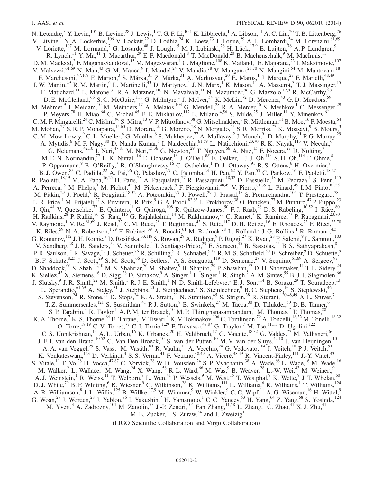N. Letendre,<sup>3</sup> Y. Levin,<sup>105</sup> B. Levine,<sup>28</sup> J. Lewis,<sup>1</sup> T. G. F. Li,<sup>10,1</sup> K. Libbrecht,<sup>1</sup> A. Libson,<sup>11</sup> A. C. Lin,<sup>20</sup> T. B. Littenberg, V. Litvine,<sup>1</sup> N. A. Lockerbie,<sup>106</sup> V. Lockett,<sup>22</sup> D. Lodhia,<sup>24</sup> K. Loew,<sup>73</sup> J. Logue,<sup>29</sup> A. L. Lombardi,<sup>54</sup> M. Lorenzini,<sup>61,69</sup> V. Loriette,<sup>107</sup> M. Lormand,<sup>7</sup> G. Losurdo,<sup>48</sup> J. Lough,<sup>15</sup> M. J. Lubinski,<sup>28</sup> H. Lück,<sup>17,9</sup> E. Luijten,<sup>76</sup> A. P. Lundgren,<sup>9</sup> R. Lynch,<sup>11</sup> Y. Ma,<sup>41</sup> J. Macarthur,<sup>29</sup> E. P. Macdonald,<sup>8</sup> T. MacDonald,<sup>20</sup> B. Machenschalk,<sup>9</sup> M. MacInnis,<sup>11</sup> D. M. Macleod,<sup>2</sup> F. Magana-Sandoval,<sup>15</sup> M. Mageswaran,<sup>1</sup> C. Maglione,<sup>108</sup> K. Mailand,<sup>1</sup> E. Majorana,<sup>23</sup> I. Maksimovic,<sup>107</sup> V. Malvezzi, <sup>61,69</sup> N. Man, <sup>43</sup> G. M. Manca, <sup>9</sup> I. Mandel, <sup>24</sup> V. Mandic, <sup>78</sup> V. Mangano, <sup>23,70</sup> N. Mangini, <sup>54</sup> M. Mantovani, <sup>18</sup> F. Marchesoni,<sup>47,109</sup> F. Marion,<sup>3</sup> S. Márka,<sup>31</sup> Z. Márka,<sup>31</sup> A. Markosyan,<sup>20</sup> E. Maros,<sup>1</sup> J. Marque,<sup>27</sup> F. Martelli,<sup>48,49</sup> I. W. Martin,<sup>29</sup> R. M. Martin,<sup>6</sup> L. Martinelli,<sup>43</sup> D. Martynov,<sup>1</sup> J. N. Marx,<sup>1</sup> K. Mason,<sup>11</sup> A. Masserot,<sup>3</sup> T. J. Massinger,<sup>15</sup> F. Matichard,<sup>11</sup> L. Matone,<sup>31</sup> R. A. Matzner,<sup>110</sup> N. Mavalvala,<sup>11</sup> N. Mazumder,<sup>96</sup> G. Mazzolo,<sup>17,9</sup> R. McCarthy,<sup>28</sup> D. E. McClelland, <sup>66</sup> S. C. McGuire, <sup>111</sup> G. McIntyre, <sup>1</sup> J. McIver, <sup>54</sup> K. McLin, <sup>72</sup> D. Meacher, <sup>43</sup> G. D. Meadors, <sup>59</sup> M. Mehmet,<sup>9</sup> J. Meidam,<sup>10</sup> M. Meinders,<sup>17</sup> A. Melatos,<sup>103</sup> G. Mendell,<sup>28</sup> R. A. Mercer,<sup>16</sup> S. Meshkov,<sup>1</sup> C. Messenger,<sup>29</sup> P. Meyers,<sup>78</sup> H. Miao,<sup>64</sup> C. Michel,<sup>45</sup> E. E. Mikhailov,<sup>112</sup> L. Milano,<sup>4,56</sup> S. Milde,<sup>25</sup> J. Miller,<sup>11</sup> Y. Minenkov,<sup>61</sup> C. M. F. Mingarelli,  $^{24}$  C. Mishra,  $^{96}$  S. Mitra,  $^{13}$  V. P. Mitrofanov,  $^{38}$  G. Mitselmakher,  $^{6}$  R. Mittleman,  $^{11}$  B. Moe,  $^{16}$  P. Moesta,  $^{64}$ M. Mohan,  $27$  S. R. P. Mohapatra,  $15,60$  D. Moraru,  $28$  G. Moreno,  $28$  N. Morgado,  $45$  S. R. Morriss,  $77$  K. Mossavi,  $9$  B. Mours,  $3$ C. M. Mow-Lowry,  $^9$  C. L. Mueller,  $^6$  G. Mueller,  $^6$  S. Mukherjee,  $^{77}$  A. Mullavey,  $^2$  J. Munch,  $^{91}$  D. Murphy,  $^{31}$  P. G. Murray,  $^{29}$ A. Mytidis,<sup>6</sup> M. F. Nagy,<sup>80</sup> D. Nanda Kumar,<sup>6</sup> I. Nardecchia,<sup>61,69</sup> L. Naticchioni,<sup>23,70</sup> R. K. Nayak,<sup>113</sup> V. Necula,<sup>6</sup> G. Nelemans,<sup>42,10</sup> I. Neri,<sup>47,87</sup> M. Neri,<sup>35,36</sup> G. Newton,<sup>29</sup> T. Nguyen,<sup>66</sup> A. Nitz,<sup>15</sup> F. Nocera,<sup>27</sup> D. Nolting,<sup>7</sup> M. E. N. Normandin,  $^{77}$  L. K. Nuttall,  $^{16}$  E. Ochsner,  $^{16}$  J. O'Dell,  $^{88}$  E. Oelker,  $^{11}$  J. J. Oh,  $^{114}$  S. H. Oh,  $^{114}$  F. Ohme,  $^{8}$ P. Oppermann,  $9B. O'Reilly, \nabla R. O'Shaughnessy, \nabla^{16} C. Osthelder, \nabla D. J. Ottaway, \nabla R. S. Ottens, \nabla H. Overmier, \nabla R. G. (1)$ B. J. Owen,  $85$  C. Padilla,  $22$  A. Pai,  $96$  O. Palashov,  $97$  C. Palomba,  $23$  H. Pan,  $62$  Y. Pan,  $53$  C. Pankow,  $16$  F. Paoletti,  $18,27$ R. Paoletti,<sup>18,19</sup> M. A. Papa,<sup>16,25</sup> H. Paris,<sup>28</sup> A. Pasqualetti,<sup>27</sup> R. Passaquieti,<sup>18,32</sup> D. Passuello,<sup>18</sup> M. Pedraza,<sup>1</sup> S. Penn,<sup>115</sup> A. Perreca,<sup>15</sup> M. Phelps,<sup>1</sup> M. Pichot,<sup>43</sup> M. Pickenpack,<sup>9</sup> F. Piergiovanni,<sup>48,49</sup> V. Pierro,<sup>81,35</sup> L. Pinard,<sup>45</sup> I. M. Pinto,<sup>81,35</sup> M. Pitkin,<sup>29</sup> J. Poeld,<sup>9</sup> R. Poggiani,<sup>18,32</sup> A. Poteomkin,<sup>97</sup> J. Powell,<sup>29</sup> J. Prasad,<sup>13</sup> S. Premachandra,<sup>105</sup> T. Prestegard,<sup>78</sup> L. R. Price,<sup>1</sup> M. Prijatelj,<sup>27</sup> S. Privitera,<sup>1</sup> R. Prix,<sup>9</sup> G. A. Prodi,<sup>82,83</sup> L. Prokhorov,<sup>38</sup> O. Puncken,<sup>77</sup> M. Punturo,<sup>47</sup> P. Puppo,<sup>23</sup> J. Qin,<sup>41</sup> V. Quetschke,<sup>77</sup> E. Quintero,<sup>1</sup> G. Quiroga,<sup>108</sup> R. Quitzow-James,<sup>50</sup> F. J. Raab,<sup>28</sup> D. S. Rabeling,<sup>10,52</sup> I. Rácz,<sup>80</sup> H. Radkins,<sup>28</sup> P. Raffai,<sup>86</sup> S. Raja,<sup>116</sup> G. Rajalakshmi,<sup>14</sup> M. Rakhmanov,<sup>77</sup> C. Ramet,<sup>7</sup> K. Ramirez,<sup>77</sup> P. Rapagnani,<sup>23,70</sup> V. Raymond,<sup>1</sup> V. Re,<sup>61,69</sup> J. Read,<sup>22</sup> C. M. Reed,<sup>28</sup> T. Regimbau,<sup>43</sup> S. Reid,<sup>117</sup> D. H. Reitze,<sup>1,6</sup> E. Rhoades,<sup>73</sup> F. Ricci,<sup>23,70</sup> K. Riles,<sup>59</sup> N. A. Robertson,<sup>1,29</sup> F. Robinet,<sup>39</sup> A. Rocchi,<sup>61</sup> M. Rodruck,<sup>28</sup> L. Rolland,<sup>3</sup> J. G. Rollins,<sup>1</sup> R. Romano,<sup>4,5</sup> G. Romanov,<sup>112</sup> J. H. Romie,<sup>7</sup> D. Rosińska,<sup>33,118</sup> S. Rowan,<sup>29</sup> A. Rüdiger,<sup>9</sup> P. Ruggi,<sup>27</sup> K. Ryan,<sup>28</sup> F. Salemi,<sup>9</sup> L. Sammut,<sup>103</sup> V. Sandberg, $^{28}$  J. R. Sanders,  $^{59}$  V. Sannibale,<sup>1</sup> I. Santiago-Prieto,  $^{29}$  E. Saracco,  $^{45}$  B. Sassolas,  $^{45}$  B. S. Sathyaprakash,  $^{8}$ P. R. Saulson,<sup>15</sup> R. Savage,<sup>28</sup> J. Scheuer,<sup>76</sup> R. Schilling,<sup>9</sup> R. Schnabel,<sup>9,17</sup> R. M. S. Schofield,<sup>50</sup> E. Schreiber,<sup>9</sup> D. Schuette,<sup>9</sup> B. F. Schutz,  $8.25$  J. Scott,  $29$  S. M. Scott,  $66$  D. Sellers, A. S. Sengupta,  $119$  D. Sentenac,  $27$  V. Sequino,  $61,69$  A. Sergeev,  $97$ D. Shaddock,<sup>66</sup> S. Shah,<sup>42,10</sup> M. S. Shahriar,<sup>76</sup> M. Shaltev,<sup>9</sup> B. Shapiro,<sup>20</sup> P. Shawhan,<sup>53</sup> D. H. Shoemaker,<sup>11</sup> T. L. Sidery,<sup>24</sup> K. Siellez,  $^{43}$  X. Siemens,  $^{16}$  D. Sigg,  $^{28}$  D. Simakov,  $^{9}$  A. Singer,  $^{1}$  L. Singer,  $^{1}$  R. Singh,  $^{2}$  A. M. Sintes,  $^{55}$  B. J. J. Slagmolen,  $^{66}$ J. Slutsky,  $9$  J. R. Smith,<sup>22</sup> M. Smith,<sup>1</sup> R. J. E. Smith,<sup>1</sup> N. D. Smith-Lefebvre,<sup>1</sup> E. J. Son,<sup>114</sup> B. Sorazu,<sup>29</sup> T. Souradeep,<sup>13</sup> L. Sperandio, <sup>61,69</sup> A. Staley, <sup>31</sup> J. Stebbins, <sup>20</sup> J. Steinlechner, <sup>9</sup> S. Steinlechner, <sup>9</sup> B. C. Stephens, <sup>16</sup> S. Steplewski, <sup>46</sup> S. Stevenson,  $^{24}$  R. Stone,  $^{77}$  D. Stops,  $^{24}$  K. A. Strain,  $^{29}$  N. Straniero,  $^{45}$  S. Strigin,  $^{38}$  R. Sturani,  $^{120,48,49}$  A. L. Stuver,  $^{7}$ T. Z. Summerscales,<sup>121</sup> S. Susmithan,<sup>41</sup> P. J. Sutton,<sup>8</sup> B. Swinkels,<sup>27</sup> M. Tacca,<sup>30</sup> D. Talukder,<sup>50</sup> D. B. Tanner,<sup>6</sup> S. P. Tarabrin,  $9R$ . Taylor,  $1A$ . P. M. ter Braack,  $10M$ . P. Thirugnanasambandam,  $1M$ . Thomas,  $7R$ . Thomas,  $28$ K. A. Thorne,<sup>7</sup> K. S. Thorne,<sup>64</sup> E. Thrane,<sup>1</sup> V. Tiwari,<sup>6</sup> K. V. Tokmakov,<sup>106</sup> C. Tomlinson,<sup>79</sup> A. Toncelli,<sup>18,32</sup> M. Tonelli,<sup>18,32</sup> O. Torre,<sup>18,19</sup> C. V. Torres,<sup>77</sup> C. I. Torrie,<sup>1,29</sup> F. Travasso,<sup>47,87</sup> G. Traylor,<sup>7</sup> M. Tse,<sup>31,11</sup> D. Ugolini,<sup>122</sup> C. S. Unnikrishnan,  $^{14}$  A. L. Urban,  $^{16}$  K. Urbanek,  $^{20}$  H. Vahlbruch,  $^{17}$  G. Vajente,  $^{18,32}$  G. Valdes,  $^{77}$  M. Vallisneri,  $^{64}$ J. F. J. van den Brand,<sup>10,52</sup> C. Van Den Broeck,<sup>10</sup> S. van der Putten,<sup>10</sup> M. V. van der Sluys,<sup>42,10</sup> J. van Heijningen,<sup>10</sup> A. A. van Veggel,<sup>29</sup> S. Vass,<sup>1</sup> M. Vasúth,<sup>80</sup> R. Vaulin,<sup>11</sup> A. Vecchio,<sup>24</sup> G. Vedovato,<sup>104</sup> J. Veitch,<sup>10</sup> P. J. Veitch,<sup>91</sup> K. Venkateswara,<sup>123</sup> D. Verkindt,<sup>3</sup> S. S. Verma,<sup>41</sup> F. Vetrano,<sup>48,49</sup> A. Viceré,<sup>48,49</sup> R. Vincent-Finley,<sup>111</sup> J.-Y. Vinet,<sup>43</sup> S. Vitale, <sup>11</sup> T. Vo,<sup>28</sup> H. Vocca, <sup>47,87</sup> C. Vorvick, <sup>28</sup> W. D. Vousden, <sup>24</sup> S. P. Vyachanin, <sup>38</sup> A. Wade, <sup>66</sup> L. Wade, <sup>16</sup> M. Wade, <sup>16</sup> M. Walker, <sup>2</sup> L. Wallace,<sup>1</sup> M. Wang, <sup>24</sup> X. Wang, <sup>58</sup> R. L. Ward, <sup>66</sup> M. Was, <sup>9</sup> B. Weaver, <sup>28</sup> L.-W. Wei, <sup>43</sup> M. Weinert, <sup>9</sup> A. J. Weinstein,<sup>1</sup> R. Weiss,<sup>11</sup> T. Welborn,<sup>7</sup> L. Wen,<sup>41</sup> P. Wessels,<sup>9</sup> M. West,<sup>15</sup> T. Westphal,<sup>9</sup> K. Wette,<sup>9</sup> J. T. Whelan,<sup>60</sup> D. J. White,<sup>79</sup> B. F. Whiting,<sup>6</sup> K. Wiesner,<sup>9</sup> C. Wilkinson,<sup>28</sup> K. Williams,<sup>111</sup> L. Williams,<sup>6</sup> R. Williams,<sup>1</sup> T. Williams,<sup>124</sup> A. R. Williamson, <sup>8</sup> J. L. Willis,<sup>125</sup> B. Willke,<sup>17,9</sup> M. Wimmer, <sup>9</sup> W. Winkler, <sup>9</sup> C. C. Wipf, <sup>11</sup> A. G. Wiseman, <sup>16</sup> H. Wittel, <sup>9</sup> G. Woan,<sup>29</sup> J. Worden,<sup>28</sup> J. Yablon,<sup>76</sup> I. Yakushin,<sup>7</sup> H. Yamamoto,<sup>1</sup> C. C. Yancey,<sup>53</sup> H. Yang,<sup>64</sup> Z. Yang,<sup>58</sup> S. Yoshida,<sup>124</sup> M. Yvert,<sup>3</sup> A. Zadrożny,<sup>101</sup> M. Zanolin,<sup>73</sup> J.-P. Zendri,<sup>104</sup> Fan Zhang,<sup>11,58</sup> L. Zhang,<sup>1</sup> C. Zhao,<sup>41</sup> X. J. Zhu,<sup>41</sup> M. E. Zucker,  $^{11}$  S. Zuraw,  $^{54}$  and J. Zweizig<sup>1</sup>

(LIGO Scientific Collaboration and Virgo Collaboration)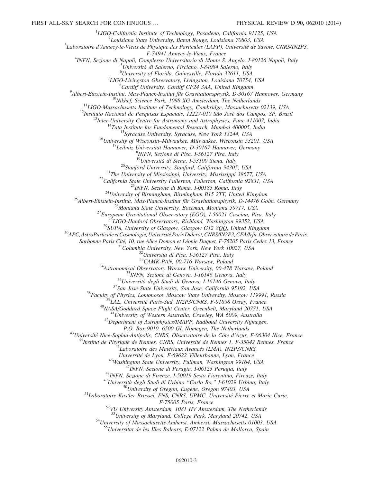<sup>1</sup>LIGO-California Institute of Technology, Pasadena, California 91125, USA<br><sup>2</sup>Louisiana State University, Paten Pouse, Louisiana 70803, USA

 $2$ Louisiana State University, Baton Rouge, Louisiana 70803, USA

 ${}^{3}$ Laboratoire d'Annecy-le-Vieux de Physique des Particules (LAPP), Université de Savoie, CNRS/IN2P3,<br>F-74941 Annecy-le-Vieux, France

F-74941 Annecy-le-Vieux, France<br><sup>4</sup>INEN, Serione di Napoli, Complesso Universitario di Monte S INFN, Sezione di Napoli, Complesso Universitario di Monte S. Angelo, I-80126 Napoli, Italy<br><sup>5</sup>Università di Salarno, Fisciano, I 84084 Salarno, Italy

Università di Salerno, Fisciano, I-84084 Salerno, Italy

<sup>6</sup> University of Florida, Gainesville, Florida 32611, USA<br><sup>7</sup> UCO Livinaston Observatory, Livinaston Louisiana 70754

<sup>7</sup>LIGO-Livingston Observatory, Livingston, Louisiana 70754, USA  ${}^{8}$ Cardiff University, Cardiff CF24 3AA, United Kingdom

 $^{9}$ Albert-Einstein-Institut, Max-Planck-Institut für Gravitationsphysik, D-30167 Hannover, Germany

<sup>10</sup>Nikhef, Science Park, 1098 XG Amsterdam, The Netherlands<br><sup>11</sup>LIGO-Massachusetts Institute of Technology, Cambridge, Massachusetts 02139, USA<br><sup>12</sup>Instituto Nacional de Pesquisas Espaciais, 12227-010 São José dos Campos

<sup>19</sup>Università di Siena, 1-53100 Siena, Italy<br><sup>20</sup>Stanford University, Stanford, California 94305, USA<br><sup>21</sup>The University of Mississippi, University, Mississippi 38677, USA<br><sup>22</sup>California State University Fullerton, Fulle

Sorbonne Paris Cité, 10, rue Alice Domon et Léonie Duquet, F-75205 Paris Cedex 13, France  $\frac{31}{2}$ Columbia University, New York, New York 10027, USA  $\frac{32}{2}$ Università di Pisa, I-56127 Pisa, Italy  $\frac{33}{2}$ CAMK-PAN,

<sup>34</sup>Astronomical Observatory Warsaw University, 00-478 Warsaw, Poland<br><sup>35</sup>INFN, Sezione di Genova, I-16146 Genova, Italy<br><sup>36</sup>Università degli Studi di Genova, I-16146 Genova, Italy<br><sup>37</sup>San Jose State University, San Jose,

P.O. Box 9010, 6500 GL Nijmegen, The Netherlands<br><sup>43</sup>Université Nice-Sophia-Antipolis, CNRS, Observatoire de la Côte d'Azur, F-06304 Nice, France<br><sup>44</sup>Institut de Physique de Rennes, CNRS, Université de Rennes 1, F-35042 Re

<sup>46</sup>Washington State University, Pullman, Washington 99164, USA<br><sup>47</sup>INFN, Sezione di Perugia, 1-06123 Perugia, Italy<br><sup>48</sup>INFN, Sezione di Firenze, 1-50019 Sesto Fiorentino, Firenze, Italy<br><sup>49</sup>Università degli Studi di Urb

 $F-75005$  Paris, France<br><sup>52</sup>VU University Amsterdam, 1081 HV Amsterdam, The Netherlands<br><sup>53</sup>University of Maryland, College Park, Maryland 20742, USA

<sup>54</sup>University of Massachusetts-Amherst, Amherst, Massachusetts 01003, USA  $^{55}$ Universitat de les Illes Balears, E-07122 Palma de Mallorca, Spain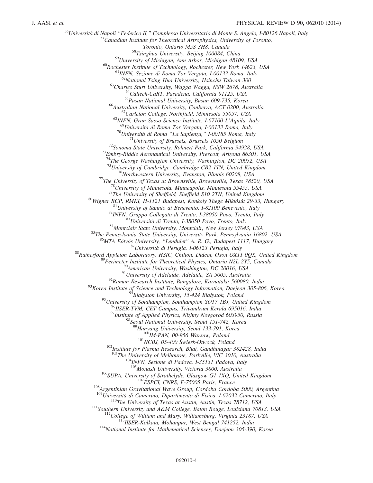<sup>56</sup>Università di Napoli "Federico II," Complesso Universitario di Monte S. Angelo, I-80126 Napoli, Italy<br><sup>57</sup>Canadian Institute for Theoretical Astrophysics, University of Toronto,<br>Toronto, Ontario M5S 3H8, Canada  $^{58}T\text{s}$ inghua University, Beijing 100084, China<br> $^{59}$ University of Michigan, Ann Arbor, Michigan 48109, USA <sup>60</sup>Rochester Institute of Technology, Rochester, New York 14623, USA <sup>61</sup>INFN, Sezione di Roma Tor Vergata, I-00133 Roma, Italy <sup>62</sup>National Tsing Hua University, Hsinchu Taiwan 300 <sup>63</sup>Charles Sturt University, Wagga Wagga, NSW 2678, Australia<br><sup>64</sup>Caltech-CaRT, Pasadena, California 91125, USA<br><sup>65</sup>Pusan National University, Busan 609-735, Korea<br><sup>66</sup>Australian National University, Canberra, ACT 0200, <sup>69</sup>Università di Roma Tor Vergata, I-00133 Roma, Italy<br><sup>70</sup>Università di Roma "La Sapienza," I-00185 Roma, Italy<br><sup>71</sup>University of Brussels, Brussels 1050 Belgium<br><sup>72</sup>Sonoma State University, Rohnert Park, California 949 <sup>74</sup>The George Washington University, Washington, DC 20052, USA  $^{75}$ University of Cambridge, Cambridge CB2 1TN, United Kingdom <sup>75</sup> University of Cambridge, Cambridge CB2 1TN, United Kingdom<br>
<sup>75</sup> University of Cambridge, Cambridge CB2 1TN, United Kingdom<br>
<sup>77</sup> The University of Paxas at Brownsville, Brownsville, Texas 78520, USA<br>
<sup>78</sup> University <sup>95</sup>University of Southampton, Southampton SO17 1BJ, United Kingdom<br><sup>96</sup>IISER-TVM, CET Campus, Trivandrum Kerala 695016, India <sup>97</sup>Institute of Applied Physics, Nizhny Novgorod 603950, Russia <sup>98</sup>Seoul National University, Seoul 151-742, Korea <sup>99</sup>Hanyang University, Seoul 133-791, Korea  $^{100}$ IM-PAN, 00-956 Warsaw, Poland<br> $^{101}$ NCBJ, 05-400 Świerk-Otwock, Poland<br> $^{102}$ Institute for Plasma Research, Bhat, Gandhinagar 382428, India <sup>103</sup>The University of Melbourne, Parkville, VIC 3010, Australia<br><sup>104</sup>INFN, Sezione di Padova, I-35131 Padova, Italy<br><sup>105</sup>Monash University, Victoria 3800, Australia <sup>106</sup>SUPA, University of Strathclyde, Glasgow G1 1XQ, United Kingdom <sup>107</sup>ESPCI, CNRS, F-75005 Paris, France <sup>108</sup>Argentinian Gravitational Wave Group, Cordoba Cordoba 5000, Argentina <sup>108</sup>Università di Camerino, Dipartim <sup>110</sup>The University of Texas at Austin, Austin, Texas 78712, USA<br><sup>111</sup>Southern University and A&M College, Baton Rouge, Louisiana 70813, USA<br><sup>112</sup>College of William and Mary, Williamsburg, Virginia 23187, USA<br><sup>113</sup>IISER-K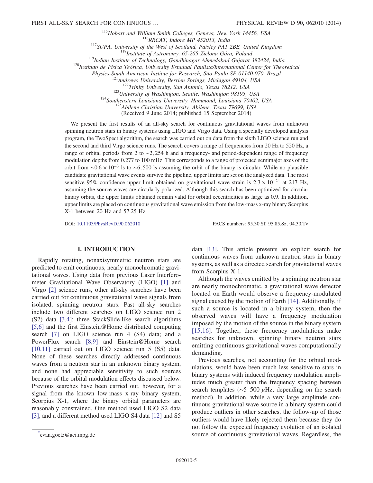<sup>115</sup>Hobart and William Smith Colleges, Geneva, New York 14456, USA<br><sup>116</sup>RRCAT, Indore MP 452013, India<br><sup>117</sup>SUPA, University of the West of Scotland, Paisley PA1 2BE, United Kingdom<br><sup>118</sup>Institute of Astronomy, 65-265 Zi

Physics-South American Institue for Research, São Paulo SP 01140-070, Brazil<br><sup>121</sup>Andrews University, Berrien Springs, Michigan 49104, USA<br><sup>122</sup>Trinity University, San Antonio, Texas 78212, USA<br><sup>123</sup>University of Washingto

(Received 9 June 2014; published 15 September 2014)

We present the first results of an all-sky search for continuous gravitational waves from unknown spinning neutron stars in binary systems using LIGO and Virgo data. Using a specially developed analysis program, the TwoSpect algorithm, the search was carried out on data from the sixth LIGO science run and the second and third Virgo science runs. The search covers a range of frequencies from 20 Hz to 520 Hz, a range of orbital periods from 2 to ∼2; 254 h and a frequency- and period-dependent range of frequency modulation depths from 0.277 to 100 mHz. This corresponds to a range of projected semimajor axes of the orbit from  $\sim 0.6 \times 10^{-3}$  ls to  $\sim 6,500$  ls assuming the orbit of the binary is circular. While no plausible candidate gravitational wave events survive the pipeline, upper limits are set on the analyzed data. The most sensitive 95% confidence upper limit obtained on gravitational wave strain is  $2.3 \times 10^{-24}$  at 217 Hz, assuming the source waves are circularly polarized. Although this search has been optimized for circular binary orbits, the upper limits obtained remain valid for orbital eccentricities as large as 0.9. In addition, upper limits are placed on continuous gravitational wave emission from the low-mass x-ray binary Scorpius X-1 between 20 Hz and 57.25 Hz.

DOI: [10.1103/PhysRevD.90.062010](http://dx.doi.org/10.1103/PhysRevD.90.062010) PACS numbers: 95.30.Sf, 95.85.Sz, 04.30.Tv

# I. INTRODUCTION

Rapidly rotating, nonaxisymmetric neutron stars are predicted to emit continuous, nearly monochromatic gravitational waves. Using data from previous Laser Interferometer Gravitational Wave Observatory (LIGO) [\[1\]](#page-15-0) and Virgo [\[2\]](#page-15-1) science runs, other all-sky searches have been carried out for continuous gravitational wave signals from isolated, spinning neutron stars. Past all-sky searches include two different searches on LIGO science run 2 (S2) data [\[3,4\];](#page-15-2) three StackSlide-like search algorithms [\[5,6\]](#page-15-3) and the first Einstein@Home distributed computing search [\[7\]](#page-15-4) on LIGO science run 4 (S4) data; and a PowerFlux search [\[8,9\]](#page-15-5) and Einstein@Home search [\[10,11\]](#page-15-6) carried out on LIGO science run 5 (S5) data. None of these searches directly addressed continuous waves from a neutron star in an unknown binary system, and none had appreciable sensitivity to such sources because of the orbital modulation effects discussed below. Previous searches have been carried out, however, for a signal from the known low-mass x-ray binary system, Scorpius X-1, where the binary orbital parameters are reasonably constrained. One method used LIGO S2 data [\[3\]](#page-15-2), and a different method used LIGO S4 data [\[12\]](#page-15-7) and S5

data [\[13\].](#page-15-8) This article presents an explicit search for continuous waves from unknown neutron stars in binary systems, as well as a directed search for gravitational waves from Scorpius X-1.

Although the waves emitted by a spinning neutron star are nearly monochromatic, a gravitational wave detector located on Earth would observe a frequency-modulated signal caused by the motion of Earth [\[14\].](#page-15-9) Additionally, if such a source is located in a binary system, then the observed waves will have a frequency modulation imposed by the motion of the source in the binary system [\[15,16\]](#page-15-10). Together, these frequency modulations make searches for unknown, spinning binary neutron stars emitting continuous gravitational waves computationally demanding.

Previous searches, not accounting for the orbital modulations, would have been much less sensitive to stars in binary systems with induced frequency modulation amplitudes much greater than the frequency spacing between search templates ( $\sim$ 5–500  $\mu$ Hz, depending on the search method). In addition, while a very large amplitude continuous gravitational wave source in a binary system could produce outliers in other searches, the follow-up of those outliers would have likely rejected them because they do not follow the expected frequency evolution of an isolated source of continuous gravitational waves. Regardless, the [\\*](#page-0-0)

<span id="page-4-0"></span>evan.goetz@aei.mpg.de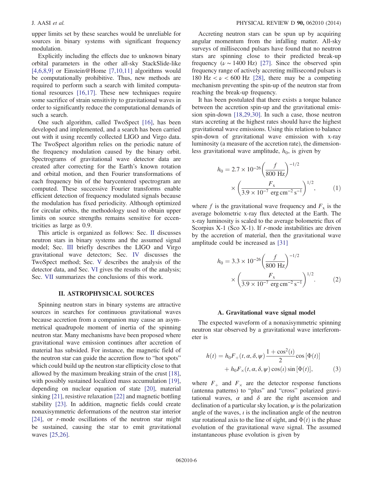upper limits set by these searches would be unreliable for sources in binary systems with significant frequency modulation.

Explicitly including the effects due to unknown binary orbital parameters in the other all-sky StackSlide-like  $[4,6,8,9]$  or Einstein@Home  $[7,10,11]$  algorithms would be computationally prohibitive. Thus, new methods are required to perform such a search with limited computational resources [\[16,17\]](#page-15-12). These new techniques require some sacrifice of strain sensitivity to gravitational waves in order to significantly reduce the computational demands of such a search.

One such algorithm, called TwoSpect [\[16\],](#page-15-12) has been developed and implemented, and a search has been carried out with it using recently collected LIGO and Virgo data. The TwoSpect algorithm relies on the periodic nature of the frequency modulation caused by the binary orbit. Spectrograms of gravitational wave detector data are created after correcting for the Earth's known rotation and orbital motion, and then Fourier transformations of each frequency bin of the barycentered spectrogram are computed. These successive Fourier transforms enable efficient detection of frequency modulated signals because the modulation has fixed periodicity. Although optimized for circular orbits, the methodology used to obtain upper limits on source strengths remains sensitive for eccentricities as large as 0.9.

This article is organized as follows: Sec. [II](#page-5-0) discusses neutron stars in binary systems and the assumed signal model; Sec. [III](#page-6-0) briefly describes the LIGO and Virgo gravitational wave detectors; Sec. [IV](#page-7-0) discusses the TwoSpect method; Sec. [V](#page-9-0) describes the analysis of the detector data, and Sec. [VI](#page-11-0) gives the results of the analysis; Sec. [VII](#page-14-0) summarizes the conclusions of this work.

# II. ASTROPHYSICAL SOURCES

<span id="page-5-0"></span>Spinning neutron stars in binary systems are attractive sources in searches for continuous gravitational waves because accretion from a companion may cause an asymmetrical quadrupole moment of inertia of the spinning neutron star. Many mechanisms have been proposed where gravitational wave emission continues after accretion of material has subsided. For instance, the magnetic field of the neutron star can guide the accretion flow to "hot spots" which could build up the neutron star ellipticity close to that allowed by the maximum breaking strain of the crust [\[18\]](#page-15-13), with possibly sustained localized mass accumulation [\[19\]](#page-15-14), depending on nuclear equation of state [\[20\]](#page-15-15), material sinking [\[21\]](#page-15-16), resistive relaxation [\[22\]](#page-15-17) and magnetic bottling stability [\[23\]](#page-15-18). In addition, magnetic fields could create nonaxisymmetric deformations of the neutron star interior [\[24\]](#page-15-19), or r-mode oscillations of the neutron star might be sustained, causing the star to emit gravitational waves [\[25,26\].](#page-15-20)

Accreting neutron stars can be spun up by acquiring angular momentum from the infalling matter. All-sky surveys of millisecond pulsars have found that no neutron stars are spinning close to their predicted break-up frequency ( $\nu \sim 1400$  Hz) [\[27\].](#page-15-21) Since the observed spin frequency range of actively accreting millisecond pulsars is 180 Hz  $\lt \nu \lt 600$  Hz [\[28\],](#page-15-22) there may be a competing mechanism preventing the spin-up of the neutron star from reaching the break-up frequency.

It has been postulated that there exists a torque balance between the accretion spin-up and the gravitational emission spin-down [\[18,29,30\]](#page-15-13). In such a case, those neutron stars accreting at the highest rates should have the highest gravitational wave emissions. Using this relation to balance spin-down of gravitational wave emission with x-ray luminosity (a measure of the accretion rate), the dimensionless gravitational wave amplitude,  $h_0$ , is given by

$$
h_0 = 2.7 \times 10^{-26} \left(\frac{f}{800 \text{ Hz}}\right)^{-1/2}
$$

$$
\times \left(\frac{F_x}{3.9 \times 10^{-7} \text{ erg cm}^{-2} \text{ s}^{-1}}\right)^{1/2},\tag{1}
$$

where f is the gravitational wave frequency and  $F_x$  is the average bolometric x-ray flux detected at the Earth. The x-ray luminosity is scaled to the average bolometric flux of Scorpius X-1 (Sco X-1). If r-mode instabilities are driven by the accretion of material, then the gravitational wave amplitude could be increased as [\[31\]](#page-15-23)

$$
h_0 = 3.3 \times 10^{-26} \left(\frac{f}{800 \text{ Hz}}\right)^{-1/2}
$$

$$
\times \left(\frac{F_x}{3.9 \times 10^{-7} \text{ erg cm}^{-2} \text{ s}^{-1}}\right)^{1/2}.
$$
 (2)

#### A. Gravitational wave signal model

The expected waveform of a nonaxisymmetric spinning neutron star observed by a gravitational wave interferometer is

$$
h(t) = h_0 F_+(t, \alpha, \delta, \psi) \frac{1 + \cos^2(t)}{2} \cos [\Phi(t)]
$$
  
+ 
$$
h_0 F_\times(t, \alpha, \delta, \psi) \cos(t) \sin [\Phi(t)],
$$
 (3)

<span id="page-5-1"></span>where  $F_{+}$  and  $F_{\times}$  are the detector response functions (antenna patterns) to "plus" and "cross" polarized gravitational waves,  $\alpha$  and  $\delta$  are the right ascension and declination of a particular sky location,  $\psi$  is the polarization angle of the waves,  $i$  is the inclination angle of the neutron star rotational axis to the line of sight, and  $\Phi(t)$  is the phase evolution of the gravitational wave signal. The assumed instantaneous phase evolution is given by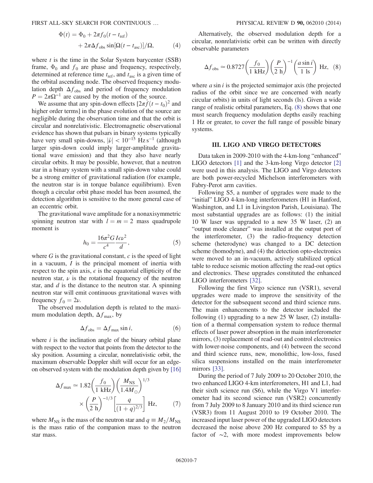FIRST ALL-SKY SEARCH FOR CONTINUOUS … PHYSICAL REVIEW D 90, 062010 (2014)

$$
\Phi(t) = \Phi_0 + 2\pi f_0 (t - t_{\text{ref}})
$$
  
+ 
$$
2\pi \Delta f_{\text{obs}} \sin[\Omega(t - t_{\text{asc}})]/\Omega,
$$
 (4)

where  $t$  is the time in the Solar System barycenter (SSB) frame,  $\Phi_0$  and  $f_0$  are phase and frequency, respectively, determined at reference time  $t_{ref}$ , and  $t_{asc}$  is a given time of the orbital ascending node. The observed frequency modulation depth  $\Delta f_{obs}$  and period of frequency modulation  $P = 2\pi\Omega^{-1}$  are caused by the motion of the source.

We assume that any spin-down effects  $[2\pi f(t - t_0)^2$  and higher order terms] in the phase evolution of the source are negligible during the observation time and that the orbit is circular and nonrelativistic. Electromagnetic observational evidence has shown that pulsars in binary systems typically have very small spin-downs,  $|\dot{\nu}| < 10^{-15}$  Hz s<sup>-1</sup> (although larger spin-down could imply larger-amplitude gravitational wave emission) and that they also have nearly circular orbits. It may be possible, however, that a neutron star in a binary system with a small spin-down value could be a strong emitter of gravitational radiation (for example, the neutron star is in torque balance equilibrium). Even though a circular orbit phase model has been assumed, the detection algorithm is sensitive to the more general case of an eccentric orbit.

The gravitational wave amplitude for a nonaxisymmetric spinning neutron star with  $l = m = 2$  mass quadrupole moment is

$$
h_0 = \frac{16\pi^2 G I \epsilon \nu^2}{c^4} ,\qquad(5)
$$

where  $G$  is the gravitational constant,  $c$  is the speed of light in a vacuum, I is the principal moment of inertia with respect to the spin axis,  $\epsilon$  is the equatorial ellipticity of the neutron star,  $\nu$  is the rotational frequency of the neutron star, and  $d$  is the distance to the neutron star. A spinning neutron star will emit continuous gravitational waves with frequency  $f_0 = 2\nu$ .

The observed modulation depth is related to the maximum modulation depth,  $\Delta f_{\text{max}}$ , by

$$
\Delta f_{\rm obs} = \Delta f_{\rm max} \sin i, \tag{6}
$$

where  $i$  is the inclination angle of the binary orbital plane with respect to the vector that points from the detector to the sky position. Assuming a circular, nonrelativistic orbit, the maximum observable Doppler shift will occur for an edgeon observed system with the modulation depth given by [\[16\]](#page-15-12)

$$
\Delta f_{\text{max}} \simeq 1.82 \left(\frac{f_0}{1 \text{ kHz}}\right) \left(\frac{M_{\text{NS}}}{1.4 M_{\odot}}\right)^{1/3} \times \left(\frac{P}{2 \text{ h}}\right)^{-1/3} \left[\frac{q}{(1+q)^{2/3}}\right] \text{ Hz},\tag{7}
$$

where  $M_{\text{NS}}$  is the mass of the neutron star and  $q \equiv M_2/M_{\text{NS}}$ is the mass ratio of the companion mass to the neutron star mass.

<span id="page-6-1"></span>Alternatively, the observed modulation depth for a circular, nonrelativistic orbit can be written with directly observable parameters

$$
\Delta f_{\rm obs} \simeq 0.8727 \left(\frac{f_0}{1 \text{ kHz}}\right) \left(\frac{P}{2 \text{ h}}\right)^{-1} \left(\frac{a \sin i}{1 \text{ ls}}\right) \text{ Hz}, \tag{8}
$$

where  $a \sin i$  is the projected semimajor axis (the projected radius of the orbit since we are concerned with nearly circular orbits) in units of light seconds (ls). Given a wide range of realistic orbital parameters, Eq. [\(8\)](#page-6-1) shows that one must search frequency modulation depths easily reaching 1 Hz or greater, to cover the full range of possible binary systems.

#### III. LIGO AND VIRGO DETECTORS

<span id="page-6-0"></span>Data taken in 2009-2010 with the 4-km-long "enhanced" LIGO detectors [\[1\]](#page-15-0) and the 3-km-long Virgo detector [\[2\]](#page-15-1) were used in this analysis. The LIGO and Virgo detectors are both power-recycled Michelson interferometers with Fabry-Perot arm cavities.

Following S5, a number of upgrades were made to the "initial" LIGO 4-km-long interferometers (H1 in Hanford, Washington, and L1 in Livingston Parish, Louisiana). The most substantial upgrades are as follows: (1) the initial 10 W laser was upgraded to a new 35 W laser, (2) an "output mode cleaner" was installed at the output port of the interferometer, (3) the radio-frequency detection scheme (heterodyne) was changed to a DC detection scheme (homodyne), and (4) the detection opto-electronics were moved to an in-vacuum, actively stabilized optical table to reduce seismic motion affecting the read-out optics and electronics. These upgrades constituted the enhanced LIGO interferometers [\[32\]](#page-15-24).

Following the first Virgo science run (VSR1), several upgrades were made to improve the sensitivity of the detector for the subsequent second and third science runs. The main enhancements to the detector included the following  $(1)$  upgrading to a new 25 W laser,  $(2)$  installation of a thermal compensation system to reduce thermal effects of laser power absorption in the main interferometer mirrors, (3) replacement of read-out and control electronics with lower-noise components, and (4) between the second and third science runs, new, monolithic, low-loss, fused silica suspensions installed on the main interferometer mirrors [\[33\]](#page-15-25).

During the period of 7 July 2009 to 20 October 2010, the two enhanced LIGO 4-km interferometers, H1 and L1, had their sixth science run (S6), while the Virgo V1 interferometer had its second science run (VSR2) concurrently from 7 July 2009 to 8 January 2010 and its third science run (VSR3) from 11 August 2010 to 19 October 2010. The increased input laser power of the upgraded LIGO detectors decreased the noise above 200 Hz compared to S5 by a factor of ∼2, with more modest improvements below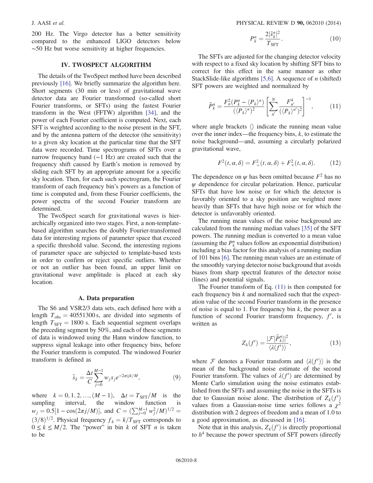200 Hz. The Virgo detector has a better sensitivity compared to the enhanced LIGO detectors below ∼50 Hz but worse sensitivity at higher frequencies.

# IV. TWOSPECT ALGORITHM

<span id="page-7-0"></span>The details of the TwoSpect method have been described previously [\[16\].](#page-15-12) We briefly summarize the algorithm here. Short segments (30 min or less) of gravitational wave detector data are Fourier transformed (so-called short Fourier transforms, or SFTs) using the fastest Fourier transform in the West (FFTW) algorithm [\[34\]](#page-15-26), and the power of each Fourier coefficient is computed. Next, each SFT is weighted according to the noise present in the SFT, and by the antenna pattern of the detector (the sensitivity) to a given sky location at the particular time that the SFT data were recorded. Time spectrograms of SFTs over a narrow frequency band (∼1 Hz) are created such that the frequency shift caused by Earth's motion is removed by sliding each SFT by an appropriate amount for a specific sky location. Then, for each such spectrogram, the Fourier transform of each frequency bin's powers as a function of time is computed and, from these Fourier coefficients, the power spectra of the second Fourier transform are determined.

The TwoSpect search for gravitational waves is hierarchically organized into two stages. First, a non-templatebased algorithm searches the doubly Fourier-transformed data for interesting regions of parameter space that exceed a specific threshold value. Second, the interesting regions of parameter space are subjected to template-based tests in order to confirm or reject specific outliers. Whether or not an outlier has been found, an upper limit on gravitational wave amplitude is placed at each sky location.

### A. Data preparation

<span id="page-7-2"></span>The S6 and VSR2/3 data sets, each defined here with a length  $T_{obs} = 40551300$  s, are divided into segments of length  $T_{\text{SFT}} = 1800$  s. Each sequential segment overlaps the preceding segment by 50%, and each of these segments of data is windowed using the Hann window function, to suppress signal leakage into other frequency bins, before the Fourier transform is computed. The windowed Fourier transform is defined as

$$
\tilde{s}_k = \frac{\Delta t}{C} \sum_{j=0}^{M-1} w_j s_j e^{-2\pi i j k/M},\tag{9}
$$

where  $k = 0, 1, 2, ..., (M - 1), \Delta t = T_{\text{SFT}}/M$  is the sampling interval, the window function is interval, the  $w_j = 0.5[1 - \cos(2\pi j/M)], \text{ and } C = (\sum_{j=0}^{M-1} w_j^2/M)^{1/2} =$  $(3/8)^{1/2}$ . Physical frequency  $f_k = k/T_{\rm SFT}$  corresponds to  $0 \le k \le M/2$ . The "power" in bin k of SFT n is taken to be

$$
P_k^n = \frac{2|\tilde{s}_k^n|^2}{T_{\text{SFT}}}.\tag{10}
$$

The SFTs are adjusted for the changing detector velocity with respect to a fixed sky location by shifting SFT bins to correct for this effect in the same manner as other StackSlide-like algorithms [\[5,6\]](#page-15-3). A sequence of *n* (shifted) SFT powers are weighted and normalized by

<span id="page-7-1"></span>
$$
\tilde{P}_k^n = \frac{F_n^2 (P_k^n - \langle P_k \rangle^n)}{(\langle P_k \rangle^n)^2} \left[ \sum_{n'}^N \frac{F_{n'}^4}{(\langle P_k \rangle^{n'})^2} \right]^{-1}, \tag{11}
$$

where angle brackets  $\langle \rangle$  indicate the running mean value over the inner index—the frequency bins,  $k$ , to estimate the noise background—and, assuming a circularly polarized gravitational wave,

$$
F^{2}(t, \alpha, \delta) = F^{2}_{+}(t, \alpha, \delta) + F^{2}_{\times}(t, \alpha, \delta).
$$
 (12)

The dependence on  $\psi$  has been omitted because  $F^2$  has no  $\psi$  dependence for circular polarization. Hence, particular SFTs that have low noise or for which the detector is favorably oriented to a sky position are weighted more heavily than SFTs that have high noise or for which the detector is unfavorably oriented.

The running mean values of the noise background are calculated from the running median values [\[35\]](#page-15-27) of the SFT powers. The running median is converted to a mean value (assuming the  $P_k^n$  values follow an exponential distribution) including a bias factor for this analysis of a running median of 101 bins [\[6\].](#page-15-28) The running mean values are an estimate of the smoothly varying detector noise background that avoids biases from sharp spectral features of the detector noise (lines) and potential signals.

The Fourier transform of Eq. [\(11\)](#page-7-1) is then computed for each frequency bin k and normalized such that the expectation value of the second Fourier transform in the presence of noise is equal to 1. For frequency bin  $k$ , the power as a function of second Fourier transform frequency,  $f'$ , is written as

$$
Z_k(f') = \frac{|\mathcal{F}[\tilde{P}_k^n]|^2}{\langle \lambda(f') \rangle},\tag{13}
$$

where  $\mathcal F$  denotes a Fourier transform and  $\langle \lambda(f') \rangle$  is the mean of the background noise estimate of the second Fourier transform. The values of  $\lambda(f')$  are determined by Monte Carlo simulation using the noise estimates established from the SFTs and assuming the noise in the SFTs is due to Gaussian noise alone. The distribution of  $Z_k(f')$ values from a Gaussian-noise time series follows a  $\chi^2$ distribution with 2 degrees of freedom and a mean of 1.0 to a good approximation, as discussed in [\[16\].](#page-15-12)

Note that in this analysis,  $Z_k(f')$  is directly proportional to  $h<sup>4</sup>$  because the power spectrum of SFT powers (directly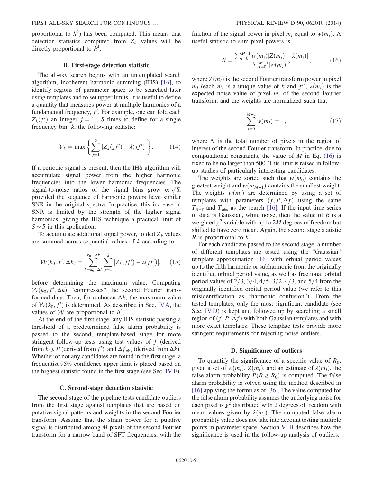proportional to  $h^2$ ) has been computed. This means that detection statistics computed from  $Z_k$  values will be directly proportional to  $h^4$ .

### B. First-stage detection statistic

The all-sky search begins with an untemplated search algorithm, incoherent harmonic summing (IHS) [\[16\]](#page-15-12), to identify regions of parameter space to be searched later using templates and to set upper limits. It is useful to define a quantity that measures power at multiple harmonics of a fundamental frequency,  $f'$ . For example, one can fold each  $Z_k(f')$  an integer  $j = 1...S$  times to define for a single frequency bin,  $k$ , the following statistic:

$$
\mathcal{V}_k = \max \left\{ \sum_{j=1}^S \left[ Z_k(jf') - \lambda(jf') \right] \right\}.
$$
 (14)

If a periodic signal is present, then the IHS algorithm will accumulate signal power from the higher harmonic frequencies into the lower harmonic frequencies. The signal-to-noise ratios of the signal bins grow  $\propto \sqrt{S}$ , provided the sequence of harmonic powers have similar SNR in the original spectra. In practice, this increase in SNR is limited by the strength of the higher signal harmonics, giving the IHS technique a practical limit of  $S \sim 5$  in this application.

<span id="page-8-2"></span>To accumulate additional signal power, folded  $Z_k$  values are summed across sequential values of  $k$  according to

$$
\mathcal{W}(k_0, f', \Delta k) = \sum_{k=k_0-\Delta k}^{k_0+\Delta k} \sum_{j=1}^S \left[ Z_k(jf') - \lambda(jf') \right], \quad (15)
$$

before determining the maximum value. Computing  $W(k_0, f', \Delta k)$  "compresses" the second Fourier transformed data. Then, for a chosen  $\Delta k$ , the maximum value of  $W(k_0, f')$  is determined. As described in Sec. [IVA,](#page-7-2) the values of W are proportional to  $h^4$ .

At the end of the first stage, any IHS statistic passing a threshold of a predetermined false alarm probability is passed to the second, template-based stage for more stringent follow-up tests using test values of  $f$  (derived from  $k_0$ ), P (derived from f'), and  $\Delta f_{obs}$  (derived from  $\Delta k$ ). Whether or not any candidates are found in the first stage, a frequentist 95% confidence upper limit is placed based on the highest statistic found in the first stage (see Sec. [IV E](#page-9-1)).

#### C. Second-stage detection statistic

The second stage of the pipeline tests candidate outliers from the first stage against templates that are based on putative signal patterns and weights in the second Fourier transform. Assume that the strain power for a putative signal is distributed among M pixels of the second Fourier transform for a narrow band of SFT frequencies, with the

<span id="page-8-0"></span>fraction of the signal power in pixel  $m_i$  equal to  $w(m_i)$ . A useful statistic to sum pixel powers is

$$
R = \frac{\sum_{i=0}^{M-1} w(m_i)[Z(m_i) - \lambda(m_i)]}{\sum_{i=0}^{M-1} [w(m_i)]^2},
$$
 (16)

where  $Z(m_i)$  is the second Fourier transform power in pixel  $m_i$  (each  $m_i$  is a unique value of k and  $f'$ ),  $\lambda(m_i)$  is the expected noise value of pixel  $m_i$  of the second Fourier transform, and the weights are normalized such that

$$
\sum_{i=0}^{M-1} w(m_i) = 1, \tag{17}
$$

where  $N$  is the total number of pixels in the region of interest of the second Fourier transform. In practice, due to computational constraints, the value of  $M$  in Eq. [\(16\)](#page-8-0) is fixed to be no larger than 500. This limit is raised in followup studies of particularly interesting candidates.

The weights are sorted such that  $w(m_0)$  contains the greatest weight and  $w(m_{M-1})$  contains the smallest weight. The weights  $w(m_i)$  are determined by using a set of templates with parameters  $(f, P, \Delta f)$  using the same  $T_{\text{SFT}}$  and  $T_{\text{obs}}$  as the search [\[16\]](#page-15-12). If the input time series of data is Gaussian, white noise, then the value of  $R$  is a weighted  $\chi^2$  variable with up to 2M degrees of freedom but shifted to have zero mean. Again, the second stage statistic R is proportional to  $h^4$ .

For each candidate passed to the second stage, a number of different templates are tested using the "Gaussian" template approximation [\[16\]](#page-15-12) with orbital period values up to the fifth harmonic or subharmonic from the originally identified orbital period value, as well as fractional orbital period values of  $2/3$ ,  $3/4$ ,  $4/5$ ,  $3/2$ ,  $4/3$ , and  $5/4$  from the originally identified orbital period value (we refer to this misidentification as "harmonic confusion"). From the tested templates, only the most significant candidate (see Sec. [IV D](#page-8-1)) is kept and followed up by searching a small region of  $(f, P, \Delta f)$  with both Gaussian templates and with more exact templates. These template tests provide more stringent requirements for rejecting noise outliers.

#### D. Significance of outliers

<span id="page-8-1"></span>To quantify the significance of a specific value of  $R_0$ , given a set of  $w(m_i)$ ,  $Z(m_i)$ , and an estimate of  $\lambda(m_i)$ , the false alarm probability  $P(R \ge R_0)$  is computed. The false alarm probability is solved using the method described in [\[16\]](#page-15-12) applying the formulas of [\[36\]](#page-15-29). The value computed for the false alarm probability assumes the underlying noise for each pixel is  $\chi^2$  distributed with 2 degrees of freedom with mean values given by  $\lambda(m_i)$ . The computed false alarm probability value does not take into account testing multiple points in parameter space. Section [VI B](#page-11-1) describes how the significance is used in the follow-up analysis of outliers.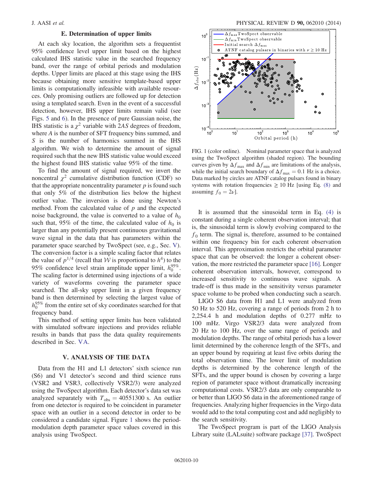# E. Determination of upper limits

<span id="page-9-1"></span>At each sky location, the algorithm sets a frequentist 95% confidence level upper limit based on the highest calculated IHS statistic value in the searched frequency band, over the range of orbital periods and modulation depths. Upper limits are placed at this stage using the IHS because obtaining more sensitive template-based upper limits is computationally infeasible with available resources. Only promising outliers are followed up for detection using a templated search. Even in the event of a successful detection, however, IHS upper limits remain valid (see Figs. [5](#page-14-1) and [6](#page-14-2)). In the presence of pure Gaussian noise, the IHS statistic is a  $\chi^2$  variable with 2AS degrees of freedom, where A is the number of SFT frequency bins summed, and S is the number of harmonics summed in the IHS algorithm. We wish to determine the amount of signal required such that the new IHS statistic value would exceed the highest found IHS statistic value 95% of the time.

To find the amount of signal required, we invert the noncentral  $\chi^2$  cumulative distribution function (CDF) so that the appropriate noncentrality parameter  $p$  is found such that only 5% of the distribution lies below the highest outlier value. The inversion is done using Newton's method. From the calculated value of  $p$  and the expected noise background, the value is converted to a value of  $h_0$ such that, 95% of the time, the calculated value of  $h_0$  is larger than any potentially present continuous gravitational wave signal in the data that has parameters within the parameter space searched by TwoSpect (see, e.g., Sec. [V](#page-9-0)). The conversion factor is a simple scaling factor that relates the value of  $p^{1/4}$  (recall that W is proportional to  $h^4$ ) to the 95% confidence level strain amplitude upper limit,  $h_0^{95\%}$ . The scaling factor is determined using injections of a wide variety of waveforms covering the parameter space searched. The all-sky upper limit in a given frequency band is then determined by selecting the largest value of  $h_0^{95\%}$  from the entire set of sky coordinates searched for that frequency band.

This method of setting upper limits has been validated with simulated software injections and provides reliable results in bands that pass the data quality requirements described in Sec. [VA](#page-10-0).

### V. ANALYSIS OF THE DATA

<span id="page-9-0"></span>Data from the H1 and L1 detectors' sixth science run (S6) and V1 detector's second and third science runs (VSR2 and VSR3, collectively VSR2/3) were analyzed using the TwoSpect algorithm. Each detector's data set was analyzed separately with  $T_{obs} = 40551300$  s. An outlier from one detector is required to be coincident in parameter space with an outlier in a second detector in order to be considered a candidate signal. Figure [1](#page-9-2) shows the periodmodulation depth parameter space values covered in this analysis using TwoSpect.

<span id="page-9-2"></span>

FIG. 1 (color online). Nominal parameter space that is analyzed using the TwoSpect algorithm (shaded region). The bounding curves given by  $\Delta f_{\text{max}}$  and  $\Delta f_{\text{min}}$  are limitations of the analysis, while the initial search boundary of  $\Delta f_{\text{max}} = 0.1$  Hz is a choice. Data marked by circles are ATNF catalog pulsars found in binary systems with rotation frequencies  $\geq 10$  Hz [using Eq. [\(8\)](#page-6-1) and assuming  $f_0 = 2\nu$ .

It is assumed that the sinusoidal term in Eq. [\(4\)](#page-5-1) is constant during a single coherent observation interval; that is, the sinusoidal term is slowly evolving compared to the  $f_0$  term. The signal is, therefore, assumed to be contained within one frequency bin for each coherent observation interval. This approximation restricts the orbital parameter space that can be observed: the longer a coherent observation, the more restricted the parameter space [\[16\]](#page-15-12). Longer coherent observation intervals, however, correspond to increased sensitivity to continuous wave signals. A trade-off is thus made in the sensitivity versus parameter space volume to be probed when conducting such a search.

LIGO S6 data from H1 and L1 were analyzed from 50 Hz to 520 Hz, covering a range of periods from 2 h to 2,254.4 h and modulation depths of 0.277 mHz to 100 mHz. Virgo VSR2/3 data were analyzed from 20 Hz to 100 Hz, over the same range of periods and modulation depths. The range of orbital periods has a lower limit determined by the coherence length of the SFTs, and an upper bound by requiring at least five orbits during the total observation time. The lower limit of modulation depths is determined by the coherence length of the SFTs, and the upper bound is chosen by covering a large region of parameter space without dramatically increasing computational costs. VSR2/3 data are only comparable to or better than LIGO S6 data in the aforementioned range of frequencies. Analyzing higher frequencies in the Virgo data would add to the total computing cost and add negligibly to the search sensitivity.

The TwoSpect program is part of the LIGO Analysis Library suite (LALsuite) software package [\[37\]](#page-15-30). TwoSpect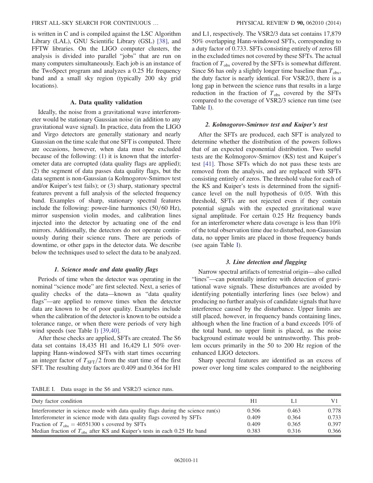### FIRST ALL-SKY SEARCH FOR CONTINUOUS … PHYSICAL REVIEW D 90, 062010 (2014)

is written in C and is compiled against the LSC Algorithm Library (LAL), GNU Scientific Library (GSL) [\[38\]](#page-15-31), and FFTW libraries. On the LIGO computer clusters, the analysis is divided into parallel "jobs" that are run on many computers simultaneously. Each job is an instance of the TwoSpect program and analyzes a 0.25 Hz frequency band and a small sky region (typically 200 sky grid locations).

### A. Data quality validation

<span id="page-10-0"></span>Ideally, the noise from a gravitational wave interferometer would be stationary Gaussian noise (in addition to any gravitational wave signal). In practice, data from the LIGO and Virgo detectors are generally stationary and nearly Gaussian on the time scale that one SFT is computed. There are occasions, however, when data must be excluded because of the following: (1) it is known that the interferometer data are corrupted (data quality flags are applied); (2) the segment of data passes data quality flags, but the data segment is non-Gaussian (a Kolmogorov-Smirnov test and/or Kuiper's test fails); or (3) sharp, stationary spectral features prevent a full analysis of the selected frequency band. Examples of sharp, stationary spectral features include the following: power-line harmonics  $(50/60 \text{ Hz})$ , mirror suspension violin modes, and calibration lines injected into the detector by actuating one of the end mirrors. Additionally, the detectors do not operate continuously during their science runs. There are periods of downtime, or other gaps in the detector data. We describe below the techniques used to select the data to be analyzed.

### 1. Science mode and data quality flags

Periods of time when the detector was operating in the nominal "science mode" are first selected. Next, a series of quality checks of the data—known as "data quality flags"—are applied to remove times when the detector data are known to be of poor quality. Examples include when the calibration of the detector is known to be outside a tolerance range, or when there were periods of very high wind speeds (see Table [I](#page-10-1)) [\[39,40\]](#page-15-32).

After these checks are applied, SFTs are created. The S6 data set contains 18,435 H1 and 16,429 L1 50% overlapping Hann-windowed SFTs with start times occurring an integer factor of  $T_{\text{SFT}}/2$  from the start time of the first SFT. The resulting duty factors are 0.409 and 0.364 for H1 and L1, respectively. The VSR2/3 data set contains 17,879 50% overlapping Hann-windowed SFTs, corresponding to a duty factor of 0.733. SFTs consisting entirely of zeros fill in the excluded times not covered by these SFTs. The actual fraction of  $T_{obs}$  covered by the SFTs is somewhat different. Since S6 has only a slightly longer time baseline than  $T_{obs}$ , the duty factor is nearly identical. For VSR2/3, there is a long gap in between the science runs that results in a large reduction in the fraction of  $T_{obs}$  covered by the SFTs compared to the coverage of VSR2/3 science run time (see Table [I\)](#page-10-1).

### 2. Kolmogorov-Smirnov test and Kuiper's test

After the SFTs are produced, each SFT is analyzed to determine whether the distribution of the powers follows that of an expected exponential distribution. Two useful tests are the Kolmogorov-Smirnov (KS) test and Kuiper's test [\[41\].](#page-16-0) Those SFTs which do not pass these tests are removed from the analysis, and are replaced with SFTs consisting entirely of zeros. The threshold value for each of the KS and Kuiper's tests is determined from the significance level on the null hypothesis of 0.05. With this threshold, SFTs are not rejected even if they contain potential signals with the expected gravitational wave signal amplitude. For certain 0.25 Hz frequency bands for an interferometer where data coverage is less than 10% of the total observation time due to disturbed, non-Gaussian data, no upper limits are placed in those frequency bands (see again Table [I](#page-10-1)).

# 3. Line detection and flagging

Narrow spectral artifacts of terrestrial origin—also called "lines"—can potentially interfere with detection of gravitational wave signals. These disturbances are avoided by identifying potentially interfering lines (see below) and producing no further analysis of candidate signals that have interference caused by the disturbance. Upper limits are still placed, however, in frequency bands containing lines, although when the line fraction of a band exceeds 10% of the total band, no upper limit is placed, as the noise background estimate would be untrustworthy. This problem occurs primarily in the 50 to 200 Hz region of the enhanced LIGO detectors.

Sharp spectral features are identified as an excess of power over long time scales compared to the neighboring

<span id="page-10-1"></span>TABLE I. Data usage in the S6 and VSR2/3 science runs.

| Duty factor condition                                                            | H1    |       |       |
|----------------------------------------------------------------------------------|-------|-------|-------|
| Interferometer in science mode with data quality flags during the science run(s) | 0.506 | 0.463 | 0.778 |
| Interferometer in science mode with data quality flags covered by SFTs           | 0.409 | 0.364 | 0.733 |
| Fraction of $T_{obs} = 40551300$ s covered by SFTs                               | 0.409 | 0.365 | 0.397 |
| Median fraction of $T_{obs}$ after KS and Kuiper's tests in each 0.25 Hz band    | 0.383 | 0.316 | 0.366 |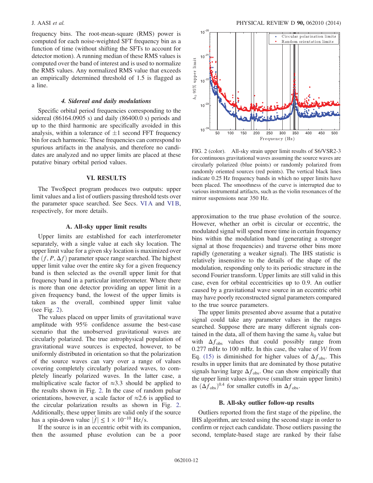frequency bins. The root-mean-square (RMS) power is computed for each noise-weighted SFT frequency bin as a function of time (without shifting the SFTs to account for detector motion). A running median of these RMS values is computed over the band of interest and is used to normalize the RMS values. Any normalized RMS value that exceeds an empirically determined threshold of 1.5 is flagged as a line.

### 4. Sidereal and daily modulations

Specific orbital period frequencies corresponding to the sidereal (86164.0905 s) and daily (86400.0 s) periods and up to the third harmonic are specifically avoided in this analysis, within a tolerance of  $\pm 1$  second FFT frequency bin for each harmonic. These frequencies can correspond to spurious artifacts in the analysis, and therefore no candidates are analyzed and no upper limits are placed at these putative binary orbital period values.

## VI. RESULTS

<span id="page-11-0"></span>The TwoSpect program produces two outputs: upper limit values and a list of outliers passing threshold tests over the parameter space searched. See Secs. [VI A](#page-11-2) and [VI B](#page-11-1), respectively, for more details.

### A. All-sky upper limit results

<span id="page-11-2"></span>Upper limits are established for each interferometer separately, with a single value at each sky location. The upper limit value for a given sky location is maximized over the  $(f, P, \Delta f)$  parameter space range searched. The highest upper limit value over the entire sky for a given frequency band is then selected as the overall upper limit for that frequency band in a particular interferometer. Where there is more than one detector providing an upper limit in a given frequency band, the lowest of the upper limits is taken as the overall, combined upper limit value (see Fig. [2\)](#page-11-3).

The values placed on upper limits of gravitational wave amplitude with 95% confidence assume the best-case scenario that the unobserved gravitational waves are circularly polarized. The true astrophysical population of gravitational wave sources is expected, however, to be uniformly distributed in orientation so that the polarization of the source waves can vary over a range of values covering completely circularly polarized waves, to completely linearly polarized waves. In the latter case, a multiplicative scale factor of  $\approx 3.3$  should be applied to the results shown in Fig. [2](#page-11-3). In the case of random pulsar orientations, however, a scale factor of  $\approx 2.6$  is applied to the circular polarization results as shown in Fig. [2](#page-11-3). Additionally, these upper limits are valid only if the source has a spin-down value  $|f| \leq 1 \times 10^{-10}$  Hz/s.

If the source is in an eccentric orbit with its companion, then the assumed phase evolution can be a poor

<span id="page-11-3"></span>

FIG. 2 (color). All-sky strain upper limit results of S6/VSR2-3 for continuous gravitational waves assuming the source waves are circularly polarized (blue points) or randomly polarized from randomly oriented sources (red points). The vertical black lines indicate 0.25 Hz frequency bands in which no upper limits have been placed. The smoothness of the curve is interrupted due to various instrumental artifacts, such as the violin resonances of the mirror suspensions near 350 Hz.

approximation to the true phase evolution of the source. However, whether an orbit is circular or eccentric, the modulated signal will spend more time in certain frequency bins within the modulation band (generating a stronger signal at those frequencies) and traverse other bins more rapidly (generating a weaker signal). The IHS statistic is relatively insensitive to the details of the shape of the modulation, responding only to its periodic structure in the second Fourier transform. Upper limits are still valid in this case, even for orbital eccentricities up to 0.9. An outlier caused by a gravitational wave source in an eccentric orbit may have poorly reconstructed signal parameters compared to the true source parameters.

The upper limits presented above assume that a putative signal could take any parameter values in the ranges searched. Suppose there are many different signals contained in the data, all of them having the same  $h_0$  value but with  $\Delta f_{obs}$  values that could possibly range from 0.277 mHz to 100 mHz. In this case, the value of  $W$  from Eq. [\(15\)](#page-8-2) is diminished for higher values of  $\Delta f_{\rm obs}$ . This results in upper limits that are dominated by those putative signals having large  $\Delta f_{\rm obs}$ . One can show empirically that the upper limit values improve (smaller strain upper limits) as  $(\Delta f_{obs})^{0.4}$  for smaller cutoffs in  $\Delta f_{obs}$ .

#### B. All-sky outlier follow-up results

<span id="page-11-1"></span>Outliers reported from the first stage of the pipeline, the IHS algorithm, are tested using the second stage in order to confirm or reject each candidate. Those outliers passing the second, template-based stage are ranked by their false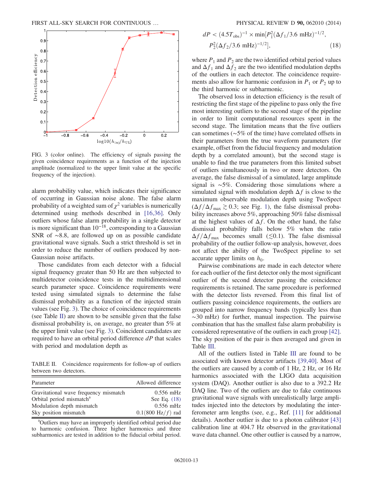<span id="page-12-0"></span>

FIG. 3 (color online). The efficiency of signals passing the given coincidence requirements as a function of the injection amplitude (normalized to the upper limit value at the specific frequency of the injection).

alarm probability value, which indicates their significance of occurring in Gaussian noise alone. The false alarm probability of a weighted sum of  $\chi^2$  variables is numerically determined using methods described in [\[16,36\]](#page-15-12). Only outliers whose false alarm probability in a single detector is more significant than  $10^{-18}$ , corresponding to a Gaussian SNR of ∼8.8, are followed up on as possible candidate gravitational wave signals. Such a strict threshold is set in order to reduce the number of outliers produced by non-Gaussian noise artifacts.

Those candidates from each detector with a fiducial signal frequency greater than 50 Hz are then subjected to multidetector coincidence tests in the multidimensional search parameter space. Coincidence requirements were tested using simulated signals to determine the false dismissal probability as a function of the injected strain values (see Fig. [3\)](#page-12-0). The choice of coincidence requirements (see Table [II](#page-12-1)) are shown to be sensible given that the false dismissal probability is, on average, no greater than 5% at the upper limit value (see Fig. [3](#page-12-0)). Coincident candidates are required to have an orbital period difference  $dP$  that scales with period and modulation depth as

<span id="page-12-2"></span><span id="page-12-1"></span>TABLE II. Coincidence requirements for follow-up of outliers between two detectors.

| Parameter                             | Allowed difference          |
|---------------------------------------|-----------------------------|
| Gravitational wave frequency mismatch | $0.556$ mHz                 |
| Orbital period mismatch <sup>a</sup>  | See Eq. $(18)$              |
| Modulation depth mismatch             | $0.556$ mHz                 |
| Sky position mismatch                 | $0.1(800 \text{ Hz}/f)$ rad |

<sup>a</sup>Outliers may have an improperly identified orbital period due to harmonic confusion. Three higher harmonics and three subharmonics are tested in addition to the fiducial orbital period.

$$
dP < (4.5Tobs)^{-1} \times \min[P_1^2(\Delta f_1/3.6 \text{ mHz})^{-1/2},
$$
  
\n
$$
P_2^2(\Delta f_2/3.6 \text{ mHz})^{-1/2}],
$$
\n(18)

where  $P_1$  and  $P_2$  are the two identified orbital period values and  $\Delta f_1$  and  $\Delta f_2$  are the two identified modulation depths of the outliers in each detector. The coincidence requirements also allow for harmonic confusion in  $P_1$  or  $P_2$  up to the third harmonic or subharmonic.

The observed loss in detection efficiency is the result of restricting the first stage of the pipeline to pass only the five most interesting outliers to the second stage of the pipeline in order to limit computational resources spent in the second stage. The limitation means that the five outliers can sometimes (∼5% of the time) have correlated offsets in their parameters from the true waveform parameters (for example, offset from the fiducial frequency and modulation depth by a correlated amount), but the second stage is unable to find the true parameters from this limited subset of outliers simultaneously in two or more detectors. On average, the false dismissal of a simulated, large amplitude signal is ∼5%. Considering those simulations where a simulated signal with modulation depth  $\Delta f$  is close to the maximum observable modulation depth using TwoSpect  $(\Delta f/\Delta f_{\rm max} \gtrsim 0.3;$  see Fig. [1](#page-9-2)), the false dismissal probability increases above 5%, approaching 50% false dismissal at the highest values of  $\Delta f$ . On the other hand, the false dismissal probability falls below 5% when the ratio  $\Delta f/\Delta f_{\text{max}}$  becomes small ( $\lesssim$ 0.1). The false dismissal probability of the outlier follow-up analysis, however, does not affect the ability of the TwoSpect pipeline to set accurate upper limits on  $h_0$ .

Pairwise combinations are made in each detector where for each outlier of the first detector only the most significant outlier of the second detector passing the coincidence requirements is retained. The same procedure is performed with the detector lists reversed. From this final list of outliers passing coincidence requirements, the outliers are grouped into narrow frequency bands (typically less than ∼30 mHz) for further, manual inspection. The pairwise combination that has the smallest false alarm probability is considered representative of the outliers in each group [\[42\]](#page-16-1). The sky position of the pair is then averaged and given in Table [III.](#page-13-0)

All of the outliers listed in Table [III](#page-13-0) are found to be associated with known detector artifacts [\[39,40\].](#page-15-32) Most of the outliers are caused by a comb of 1 Hz, 2 Hz, or 16 Hz harmonics associated with the LIGO data acquisition system (DAQ). Another outlier is also due to a 392.2 Hz DAQ line. Two of the outliers are due to fake continuous gravitational wave signals with unrealistically large amplitudes injected into the detectors by modulating the interferometer arm lengths (see, e.g., Ref. [\[11\]](#page-15-33) for additional details). Another outlier is due to a photon calibrator [\[43\]](#page-16-2) calibration line at 404.7 Hz observed in the gravitational wave data channel. One other outlier is caused by a narrow,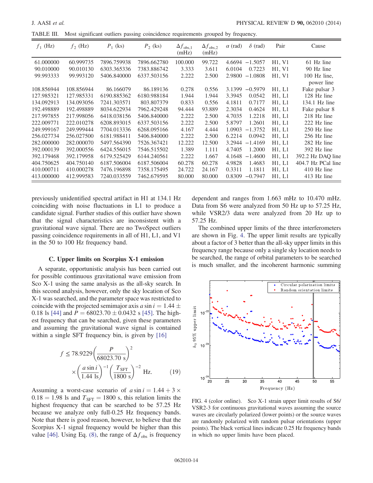<span id="page-13-0"></span>TABLE III. Most significant outliers passing coincidence requirements grouped by frequency.

| $f_1$ (Hz) | $f_2$ (Hz) | $P_1$ (ks)  | $P_2$ (ks)  | $\Delta f_{\rm obs,1}$<br>(mHz) | $\Delta f_{\rm obs,2}$<br>(mHz) | $\alpha$ (rad) | $\delta$ (rad) | Pair   | Cause              |
|------------|------------|-------------|-------------|---------------------------------|---------------------------------|----------------|----------------|--------|--------------------|
| 61.000000  | 60.999735  | 7896.759938 | 7896.662780 | 100.000                         | 99.722                          | 4.6694         | $-1.5057$      | H1, V1 | 61 Hz line         |
| 90.010000  | 90.010130  | 6303.365336 | 7383.886742 | 3.333                           | 3.611                           | 6.0104         | 0.7223         | H1, V1 | 90 Hz line         |
| 99.993333  | 99.993120  | 5406.840000 | 6337.503156 | 2.222                           | 2.500                           | 2.9800         | $-1.0808$      | H1, V1 | 100 Hz line,       |
|            |            |             |             |                                 |                                 |                |                |        | power line         |
| 108.856944 | 108.856944 | 86.166079   | 86.189136   | 0.278                           | 0.556                           | 3.1399         | $-0.5979$      | H1, L1 | Fake pulsar 3      |
| 127.985321 | 127.985331 | 6190.885362 | 6180.988184 | 1.944                           | 1.944                           | 3.3945         | 0.0542         | H1, L1 | 128 Hz line        |
| 134.092913 | 134.093056 | 7241.303571 | 803.807379  | 0.833                           | 0.556                           | 4.1811         | 0.7177         | H1, L1 | 134.1 Hz line      |
| 192.498889 | 192.498889 | 8034.622934 | 7962.429248 | 94.444                          | 93.889                          | 2.3034         | 0.4624         | H1, L1 | Fake pulsar 8      |
| 217.997855 | 217.998056 | 6418.038156 | 5406.840000 | 2.222                           | 2.500                           | 4.7035         | 1.2218         | H1, L1 | 218 Hz line        |
| 222.009771 | 222.010278 | 6208.893015 | 6337.503156 | 2.222                           | 2.500                           | 5.8797         | 1.2601         | H1, L1 | 222 Hz line        |
| 249.999167 | 249.999444 | 7704.013336 | 6268.095166 | 4.167                           | 4.444                           | 1.0903         | $-1.3752$      | H1, L1 | 250 Hz line        |
| 256.027734 | 256.027500 | 6181.988411 | 5406.840000 | 2.222                           | 2.500                           | 6.2214         | 0.0942         | H1, L1 | 256 Hz line        |
| 282,000000 | 282,000070 | 5497.564390 | 7526.367421 | 12.222                          | 12.500                          | 3.2944         | $-1.4169$      | H1, L1 | 282 Hz line        |
| 392.000139 | 392.000556 | 6424.556015 | 7546.515502 | 1.389                           | 1.111                           | 4.7405         | 1.2000         | H1, L1 | 392 Hz line        |
| 392.179468 | 392.179958 | 6179.525429 | 6144.240561 | 2.222                           | 1.667                           | 4.1648         | $-1.4600$      | H1, L1 | 392.2 Hz DAO line  |
| 404.750625 | 404.750140 | 6187.506004 | 6187.506004 | 60.278                          | 60.278                          | 4.9828         | 1.4683         | H1, L1 | 404.7 Hz PCal line |
| 410.000711 | 410.000278 | 7476.196898 | 7358.175495 | 24.722                          | 24.167                          | 0.3311         | 1.1811         | H1, L1 | 410 Hz line        |
| 413.000000 | 412.999583 | 7240.033559 | 7462.679595 | 80.000                          | 80.000                          | 0.8309         | $-0.7947$      | H1, L1 | 413 Hz line        |

previously unidentified spectral artifact in H1 at 134.1 Hz coinciding with noise fluctuations in L1 to produce a candidate signal. Further studies of this outlier have shown that the signal characteristics are inconsistent with a gravitational wave signal. There are no TwoSpect outliers passing coincidence requirements in all of H1, L1, and V1 in the 50 to 100 Hz frequency band.

### C. Upper limits on Scorpius X-1 emission

A separate, opportunistic analysis has been carried out for possible continuous gravitational wave emission from Sco X-1 using the same analysis as the all-sky search. In this second analysis, however, only the sky location of Sco X-1 was searched, and the parameter space was restricted to coincide with the projected semimajor axis a sin  $i = 1.44 \pm$ 0.18 ls [\[44\]](#page-16-3) and  $P = 68023.70 \pm 0.0432$  s [\[45\].](#page-16-4) The highest frequency that can be searched, given these parameters and assuming the gravitational wave signal is contained within a single SFT frequency bin, is given by [\[16\]](#page-15-12)

$$
f \le 78.9229 \left(\frac{P}{68023.70 \text{ s}}\right)^2
$$

$$
\times \left(\frac{a \sin i}{1.44 \text{ ls}}\right)^{-1} \left(\frac{T_{\text{SFT}}}{1800 \text{ s}}\right)^{-2} \text{ Hz.} \tag{19}
$$

Assuming a worst-case scenario of  $a \sin i = 1.44 + 3 \times$  $0.18 = 1.98$  ls and  $T_{\text{SFT}} = 1800$  s, this relation limits the highest frequency that can be searched to be 57.25 Hz because we analyze only full-0.25 Hz frequency bands. Note that there is good reason, however, to believe that the Scorpius X-1 signal frequency would be higher than this value [\[46\].](#page-16-5) Using Eq. [\(8\)](#page-6-1), the range of  $\Delta f_{obs}$  is frequency dependent and ranges from 1.663 mHz to 10.470 mHz. Data from S6 were analyzed from 50 Hz up to 57.25 Hz, while VSR2/3 data were analyzed from 20 Hz up to 57.25 Hz.

The combined upper limits of the three interferometers are shown in Fig. [4.](#page-13-1) The upper limit results are typically about a factor of 3 better than the all-sky upper limits in this frequency range because only a single sky location needs to be searched, the range of orbital parameters to be searched is much smaller, and the incoherent harmonic summing

<span id="page-13-1"></span>

FIG. 4 (color online). Sco X-1 strain upper limit results of S6/ VSR2-3 for continuous gravitational waves assuming the source waves are circularly polarized (lower points) or the source waves are randomly polarized with random pulsar orientations (upper points). The black vertical lines indicate 0.25 Hz frequency bands in which no upper limits have been placed.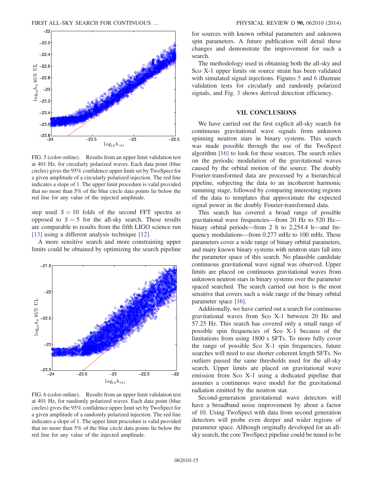<span id="page-14-1"></span>

FIG. 5 (color online). Results from an upper limit validation test at 401 Hz, for circularly polarized waves. Each data point (blue circles) gives the 95% confidence upper limit set by TwoSpect for a given amplitude of a circularly polarized injection. The red line indicates a slope of 1. The upper limit procedure is valid provided that no more than 5% of the blue circle data points lie below the red line for any value of the injected amplitude.

step used  $S = 10$  folds of the second FFT spectra as opposed to  $S = 5$  for the all-sky search. These results are comparable to results from the fifth LIGO science run [\[13\]](#page-15-8) using a different analysis technique [\[12\].](#page-15-7)

A more sensitive search and more constraining upper limits could be obtained by optimizing the search pipeline

<span id="page-14-2"></span>

FIG. 6 (color online). Results from an upper limit validation test at 401 Hz, for randomly polarized waves. Each data point (blue circles) gives the 95% confidence upper limit set by TwoSpect for a given amplitude of a randomly polarized injection. The red line indicates a slope of 1. The upper limit procedure is valid provided that no more than 5% of the blue circle data points lie below the red line for any value of the injected amplitude.

for sources with known orbital parameters and unknown spin parameters. A future publication will detail these changes and demonstrate the improvement for such a search.

The methodology used in obtaining both the all-sky and Sco X-1 upper limits on source strain has been validated with simulated signal injections. Figures [5](#page-14-1) and [6](#page-14-2) illustrate validation tests for circularly and randomly polarized signals, and Fig. [3](#page-12-0) shows derived detection efficiency.

#### VII. CONCLUSIONS

<span id="page-14-0"></span>We have carried out the first explicit all-sky search for continuous gravitational wave signals from unknown spinning neutron stars in binary systems. This search was made possible through the use of the TwoSpect algorithm [\[16\]](#page-15-12) to look for these sources. The search relies on the periodic modulation of the gravitational waves caused by the orbital motion of the source. The doubly Fourier-transformed data are processed by a hierarchical pipeline, subjecting the data to an incoherent harmonic summing stage, followed by comparing interesting regions of the data to templates that approximate the expected signal power in the doubly Fourier-transformed data.

This search has covered a broad range of possible gravitational wave frequencies—from 20 Hz to 520 Hz binary orbital periods—from 2 h to 2,254.4 h—and frequency modulations—from 0.277 mHz to 100 mHz. These parameters cover a wide range of binary orbital parameters, and many known binary systems with neutron stars fall into the parameter space of this search. No plausible candidate continuous gravitational wave signal was observed. Upper limits are placed on continuous gravitational waves from unknown neutron stars in binary systems over the parameter spaced searched. The search carried out here is the most sensitive that covers such a wide range of the binary orbital parameter space [\[16\]](#page-15-12).

Additionally, we have carried out a search for continuous gravitational waves from Sco X-1 between 20 Hz and 57.25 Hz. This search has covered only a small range of possible spin frequencies of Sco X-1 because of the limitations from using 1800 s SFTs. To more fully cover the range of possible Sco X-1 spin frequencies, future searches will need to use shorter coherent length SFTs. No outliers passed the same thresholds used for the all-sky search. Upper limits are placed on gravitational wave emission from Sco X-1 using a dedicated pipeline that assumes a continuous wave model for the gravitational radiation emitted by the neutron star.

Second-generation gravitational wave detectors will have a broadband noise improvement by about a factor of 10. Using TwoSpect with data from second generation detectors will probe even deeper and wider regions of parameter space. Although originally developed for an allsky search, the core TwoSpect pipeline could be tuned to be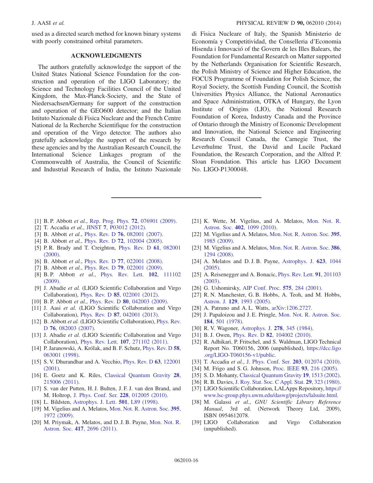used as a directed search method for known binary systems with poorly constrained orbital parameters.

### ACKNOWLEDGMENTS

The authors gratefully acknowledge the support of the United States National Science Foundation for the construction and operation of the LIGO Laboratory; the Science and Technology Facilities Council of the United Kingdom, the Max-Planck-Society, and the State of Niedersachsen/Germany for support of the construction and operation of the GEO600 detector; and the Italian Istituto Nazionale di Fisica Nucleare and the French Centre National de la Recherche Scientifique for the construction and operation of the Virgo detector. The authors also gratefully acknowledge the support of the research by these agencies and by the Australian Research Council, the International Science Linkages program of the Commonwealth of Australia, the Council of Scientific and Industrial Research of India, the Istituto Nazionale di Fisica Nucleare of Italy, the Spanish Ministerio de Economía y Competitividad, the Conselleria d'Economia Hisenda i Innovació of the Govern de les Illes Balears, the Foundation for Fundamental Research on Matter supported by the Netherlands Organisation for Scientific Research, the Polish Ministry of Science and Higher Education, the FOCUS Programme of Foundation for Polish Science, the Royal Society, the Scottish Funding Council, the Scottish Universities Physics Alliance, the National Aeronautics and Space Administration, OTKA of Hungary, the Lyon Institute of Origins (LIO), the National Research Foundation of Korea, Industry Canada and the Province of Ontario through the Ministry of Economic Development and Innovation, the National Science and Engineering Research Council Canada, the Carnegie Trust, the Leverhulme Trust, the David and Lucile Packard Foundation, the Research Corporation, and the Alfred P. Sloan Foundation. This article has LIGO Document No. LIGO-P1300048.

- <span id="page-15-0"></span>[1] B. P. Abbott et al., [Rep. Prog. Phys.](http://dx.doi.org/10.1088/0034-4885/72/7/076901) **72**, 076901 (2009).
- <span id="page-15-1"></span>[2] T. Accadia et al., JINST 7[, P03012 \(2012\).](http://dx.doi.org/10.1088/1748-0221/7/03/P03012)
- <span id="page-15-2"></span>[3] B. Abbott et al., Phys. Rev. D 76[, 082001 \(2007\).](http://dx.doi.org/10.1103/PhysRevD.76.082001)
- <span id="page-15-11"></span>[4] B. Abbott *et al.*, Phys. Rev. D **72**[, 102004 \(2005\).](http://dx.doi.org/10.1103/PhysRevD.72.102004)
- <span id="page-15-3"></span>[5] P. R. Brady and T. Creighton, [Phys. Rev. D](http://dx.doi.org/10.1103/PhysRevD.61.082001) 61, 082001 [\(2000\).](http://dx.doi.org/10.1103/PhysRevD.61.082001)
- <span id="page-15-28"></span>[6] B. Abbott *et al.*, Phys. Rev. D 77[, 022001 \(2008\).](http://dx.doi.org/10.1103/PhysRevD.77.022001)
- <span id="page-15-4"></span>[7] B. Abbott et al., Phys. Rev. D **79**[, 022001 \(2009\).](http://dx.doi.org/10.1103/PhysRevD.79.022001)
- <span id="page-15-5"></span>[8] B. P. Abbott et al., [Phys. Rev. Lett.](http://dx.doi.org/10.1103/PhysRevLett.102.111102) 102, 111102 [\(2009\).](http://dx.doi.org/10.1103/PhysRevLett.102.111102)
- [9] J. Abadie et al. (LIGO Scientific Collaboration and Virgo Collaboration), Phys. Rev. D 85[, 022001 \(2012\)](http://dx.doi.org/10.1103/PhysRevD.85.022001).
- <span id="page-15-6"></span>[10] B. P. Abbott et al., Phys. Rev. D 80[, 042003 \(2009\)](http://dx.doi.org/10.1103/PhysRevD.80.042003).
- <span id="page-15-33"></span>[11] J. Aasi et al. (LIGO Scientific Collaboration and Virgo Collaboration), Phys. Rev. D 87[, 042001 \(2013\)](http://dx.doi.org/10.1103/PhysRevD.87.042001).
- <span id="page-15-7"></span>[12] B. Abbott et al. (LIGO Scientific Collaboration), [Phys. Rev.](http://dx.doi.org/10.1103/PhysRevD.76.082003) D 76[, 082003 \(2007\)](http://dx.doi.org/10.1103/PhysRevD.76.082003).
- <span id="page-15-8"></span>[13] J. Abadie et al. (LIGO Scientific Collaboration and Virgo Collaboration), Phys. Rev. Lett. 107[, 271102 \(2011\)](http://dx.doi.org/10.1103/PhysRevLett.107.271102).
- <span id="page-15-9"></span>[14] P. Jaranowski, A. Królak, and B. F. Schutz, [Phys. Rev. D](http://dx.doi.org/10.1103/PhysRevD.58.063001) 58, [063001 \(1998\).](http://dx.doi.org/10.1103/PhysRevD.58.063001)
- <span id="page-15-10"></span>[15] S. V. Dhurandhar and A. Vecchio, [Phys. Rev. D](http://dx.doi.org/10.1103/PhysRevD.63.122001) 63, 122001 [\(2001\).](http://dx.doi.org/10.1103/PhysRevD.63.122001)
- <span id="page-15-12"></span>[16] E. Goetz and K. Riles, [Classical Quantum Gravity](http://dx.doi.org/10.1088/0264-9381/28/21/215006) 28, [215006 \(2011\).](http://dx.doi.org/10.1088/0264-9381/28/21/215006)
- [17] S. van der Putten, H. J. Bulten, J. F. J. van den Brand, and M. Holtrop, [J. Phys. Conf. Ser.](http://dx.doi.org/10.1088/1742-6596/228/1/012005) 228, 012005 (2010).
- <span id="page-15-13"></span>[18] L. Bildsten, [Astrophys. J. Lett.](http://dx.doi.org/10.1086/311440) **501**, L89 (1998).
- <span id="page-15-14"></span>[19] M. Vigelius and A. Melatos, [Mon. Not. R. Astron. Soc.](http://dx.doi.org/10.1111/j.1365-2966.2009.14690.x) 395, [1972 \(2009\)](http://dx.doi.org/10.1111/j.1365-2966.2009.14690.x).
- <span id="page-15-15"></span>[20] M. Priymak, A. Melatos, and D. J. B. Payne, [Mon. Not. R.](http://dx.doi.org/10.1111/j.1365-2966.2011.19431.x) Astron. Soc. 417[, 2696 \(2011\)](http://dx.doi.org/10.1111/j.1365-2966.2011.19431.x).
- <span id="page-15-16"></span>[21] K. Wette, M. Vigelius, and A. Melatos, [Mon. Not. R.](http://dx.doi.org/10.1111/j.1365-2966.2009.15937.x) Astron. Soc. 402[, 1099 \(2010\)](http://dx.doi.org/10.1111/j.1365-2966.2009.15937.x).
- <span id="page-15-17"></span>[22] M. Vigelius and A. Melatos, [Mon. Not. R. Astron. Soc.](http://dx.doi.org/10.1111/j.1365-2966.2009.14698.x) 395, [1985 \(2009\)](http://dx.doi.org/10.1111/j.1365-2966.2009.14698.x).
- <span id="page-15-18"></span>[23] M. Vigelius and A. Melatos, [Mon. Not. R. Astron. Soc.](http://dx.doi.org/10.1111/j.1365-2966.2008.13139.x) 386, [1294 \(2008\)](http://dx.doi.org/10.1111/j.1365-2966.2008.13139.x).
- <span id="page-15-19"></span>[24] A. Melatos and D. J. B. Payne, [Astrophys. J.](http://dx.doi.org/10.1086/428600) 623, 1044 [\(2005\).](http://dx.doi.org/10.1086/428600)
- <span id="page-15-20"></span>[25] A. Reisenegger and A. Bonacic, [Phys. Rev. Lett.](http://dx.doi.org/10.1103/PhysRevLett.91.201103) 91, 201103 [\(2003\).](http://dx.doi.org/10.1103/PhysRevLett.91.201103)
- [26] G. Ushomirsky, [AIP Conf. Proc.](http://dx.doi.org/10.1063/1.1387319) **575**, 284 (2001).
- <span id="page-15-21"></span>[27] R. N. Manchester, G. B. Hobbs, A. Teoh, and M. Hobbs, Astron. J. 129[, 1993 \(2005\).](http://dx.doi.org/10.1086/428488)
- <span id="page-15-22"></span>[28] A. Patruno and A. L. Watts, [arXiv:1206.2727.](http://arXiv.org/abs/1206.2727)
- [29] J. Papaloizou and J. E. Pringle, [Mon. Not. R. Astron. Soc.](http://dx.doi.org/10.1093/mnras/184.3.501) 184[, 501 \(1978\)](http://dx.doi.org/10.1093/mnras/184.3.501).
- [30] R. V. Wagoner, [Astrophys. J.](http://dx.doi.org/10.1086/161798) 278, 345 (1984).
- <span id="page-15-23"></span>[31] B.J. Owen, Phys. Rev. D **82**[, 104002 \(2010\).](http://dx.doi.org/10.1103/PhysRevD.82.104002)
- <span id="page-15-24"></span>[32] R. Adhikari, P. Fritschel, and S. Waldman, LIGO Technical Report No. T060156, 2006 (unpublished), [https://dcc.ligo](https://dcc.ligo.org/LIGO-T060156-v1/public) [.org/LIGO](https://dcc.ligo.org/LIGO-T060156-v1/public)‑T060156‑v1/public.
- <span id="page-15-25"></span>[33] T. Accadia et al., [J. Phys. Conf. Ser.](http://dx.doi.org/10.1088/1742-6596/203/1/012074) 203, 012074 (2010).
- <span id="page-15-26"></span>[34] M. Frigo and S. G. Johnson, Proc. IEEE 93[, 216 \(2005\)](http://dx.doi.org/10.1109/JPROC.2004.840301).
- <span id="page-15-27"></span>[35] S. D. Mohanty, [Classical Quantum Gravity](http://dx.doi.org/10.1088/0264-9381/19/7/338) 19, 1513 (2002).
- <span id="page-15-29"></span>[36] R. B. Davies, [J. Roy. Stat. Soc. C Appl. Stat.](http://dx.doi.org/10.2307/2346911) 29, 323 (1980).
- <span id="page-15-30"></span>[37] LIGO Scientific Collaboration, LALApps Repository, [https://](https://www.lsc-group.phys.uwm.edu/daswg/projects/lalsuite.html) [www.lsc](https://www.lsc-group.phys.uwm.edu/daswg/projects/lalsuite.html)‑[group.phys.uwm.edu/daswg/projects/lalsuite.html](https://www.lsc-group.phys.uwm.edu/daswg/projects/lalsuite.html).
- <span id="page-15-31"></span>[38] M. Galassi et al., GNU Scientific Library Reference Manual, 3rd ed. (Network Theory Ltd, 2009), ISBN 0954612078.
- <span id="page-15-32"></span>[39] LIGO Collaboration and Virgo Collaboration (unpublished).